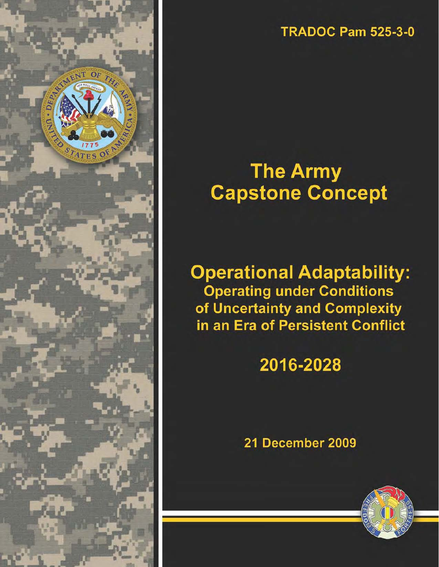**TRADOC Pam 525-3-0** 

# **The Army Capstone Concept**

TRADOCTO PAM 525-3-0

MENT OF THE

STATES OF

**Operational Adaptability: Operating under Conditions** of Uncertainty and Complexity in an Era of Persistent Conflict

2016-2028

21 December 2009

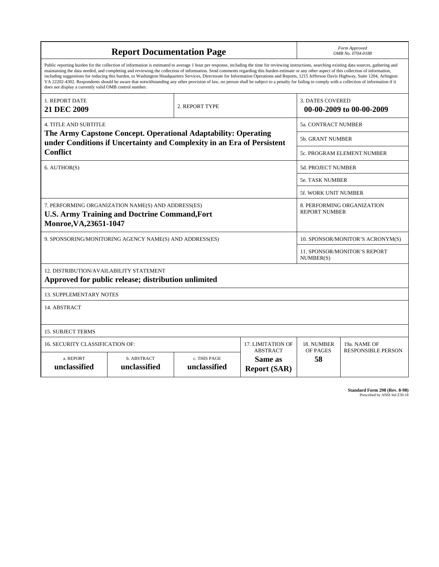| <b>Report Documentation Page</b>                                                                                                                                                                                                                                                                                                                                                                                                                                                                                                                                                                                                                                                                                                                                                                                                                                   |                                                         |                                      |                                |                                                     | Form Approved<br>OMB No. 0704-0188        |  |  |
|--------------------------------------------------------------------------------------------------------------------------------------------------------------------------------------------------------------------------------------------------------------------------------------------------------------------------------------------------------------------------------------------------------------------------------------------------------------------------------------------------------------------------------------------------------------------------------------------------------------------------------------------------------------------------------------------------------------------------------------------------------------------------------------------------------------------------------------------------------------------|---------------------------------------------------------|--------------------------------------|--------------------------------|-----------------------------------------------------|-------------------------------------------|--|--|
| Public reporting burden for the collection of information is estimated to average 1 hour per response, including the time for reviewing instructions, searching existing data sources, gathering and<br>maintaining the data needed, and completing and reviewing the collection of information. Send comments regarding this burden estimate or any other aspect of this collection of information,<br>including suggestions for reducing this burden, to Washington Headquarters Services, Directorate for Information Operations and Reports, 1215 Jefferson Davis Highway, Suite 1204, Arlington<br>VA 22202-4302. Respondents should be aware that notwithstanding any other provision of law, no person shall be subject to a penalty for failing to comply with a collection of information if it<br>does not display a currently valid OMB control number. |                                                         |                                      |                                |                                                     |                                           |  |  |
| 1. REPORT DATE<br><b>21 DEC 2009</b>                                                                                                                                                                                                                                                                                                                                                                                                                                                                                                                                                                                                                                                                                                                                                                                                                               |                                                         | 2. REPORT TYPE                       |                                | <b>3. DATES COVERED</b><br>00-00-2009 to 00-00-2009 |                                           |  |  |
| <b>4. TITLE AND SUBTITLE</b>                                                                                                                                                                                                                                                                                                                                                                                                                                                                                                                                                                                                                                                                                                                                                                                                                                       |                                                         |                                      |                                |                                                     | 5a. CONTRACT NUMBER                       |  |  |
| The Army Capstone Concept. Operational Adaptability: Operating<br>under Conditions if Uncertainty and Complexity in an Era of Persistent                                                                                                                                                                                                                                                                                                                                                                                                                                                                                                                                                                                                                                                                                                                           |                                                         |                                      |                                |                                                     | 5b. GRANT NUMBER                          |  |  |
| <b>Conflict</b>                                                                                                                                                                                                                                                                                                                                                                                                                                                                                                                                                                                                                                                                                                                                                                                                                                                    |                                                         | 5c. PROGRAM ELEMENT NUMBER           |                                |                                                     |                                           |  |  |
| 6. AUTHOR(S)                                                                                                                                                                                                                                                                                                                                                                                                                                                                                                                                                                                                                                                                                                                                                                                                                                                       |                                                         |                                      | 5d. PROJECT NUMBER             |                                                     |                                           |  |  |
|                                                                                                                                                                                                                                                                                                                                                                                                                                                                                                                                                                                                                                                                                                                                                                                                                                                                    |                                                         |                                      |                                |                                                     | <b>5e. TASK NUMBER</b>                    |  |  |
|                                                                                                                                                                                                                                                                                                                                                                                                                                                                                                                                                                                                                                                                                                                                                                                                                                                                    |                                                         |                                      |                                |                                                     | 5f. WORK UNIT NUMBER                      |  |  |
| 7. PERFORMING ORGANIZATION NAME(S) AND ADDRESS(ES)<br><b>U.S. Army Training and Doctrine Command, Fort</b><br>Monroe, VA, 23651-1047                                                                                                                                                                                                                                                                                                                                                                                                                                                                                                                                                                                                                                                                                                                               |                                                         |                                      |                                | 8. PERFORMING ORGANIZATION<br><b>REPORT NUMBER</b>  |                                           |  |  |
|                                                                                                                                                                                                                                                                                                                                                                                                                                                                                                                                                                                                                                                                                                                                                                                                                                                                    | 9. SPONSORING/MONITORING AGENCY NAME(S) AND ADDRESS(ES) | 10. SPONSOR/MONITOR'S ACRONYM(S)     |                                |                                                     |                                           |  |  |
|                                                                                                                                                                                                                                                                                                                                                                                                                                                                                                                                                                                                                                                                                                                                                                                                                                                                    |                                                         |                                      |                                |                                                     | 11. SPONSOR/MONITOR'S REPORT<br>NUMBER(S) |  |  |
| 12. DISTRIBUTION/AVAILABILITY STATEMENT<br>Approved for public release; distribution unlimited                                                                                                                                                                                                                                                                                                                                                                                                                                                                                                                                                                                                                                                                                                                                                                     |                                                         |                                      |                                |                                                     |                                           |  |  |
| <b>13. SUPPLEMENTARY NOTES</b>                                                                                                                                                                                                                                                                                                                                                                                                                                                                                                                                                                                                                                                                                                                                                                                                                                     |                                                         |                                      |                                |                                                     |                                           |  |  |
| 14. ABSTRACT                                                                                                                                                                                                                                                                                                                                                                                                                                                                                                                                                                                                                                                                                                                                                                                                                                                       |                                                         |                                      |                                |                                                     |                                           |  |  |
| <b>15. SUBJECT TERMS</b>                                                                                                                                                                                                                                                                                                                                                                                                                                                                                                                                                                                                                                                                                                                                                                                                                                           |                                                         |                                      |                                |                                                     |                                           |  |  |
| 16. SECURITY CLASSIFICATION OF:                                                                                                                                                                                                                                                                                                                                                                                                                                                                                                                                                                                                                                                                                                                                                                                                                                    |                                                         | 17. LIMITATION OF<br><b>ABSTRACT</b> | 18. NUMBER<br>OF PAGES         | 19a. NAME OF<br><b>RESPONSIBLE PERSON</b>           |                                           |  |  |
| a. REPORT<br>unclassified                                                                                                                                                                                                                                                                                                                                                                                                                                                                                                                                                                                                                                                                                                                                                                                                                                          | b. ABSTRACT<br>unclassified                             | c. THIS PAGE<br>unclassified         | Same as<br><b>Report (SAR)</b> | 58                                                  |                                           |  |  |

**Standard Form 298 (Rev. 8-98)**<br>Prescribed by ANSI Std Z39-18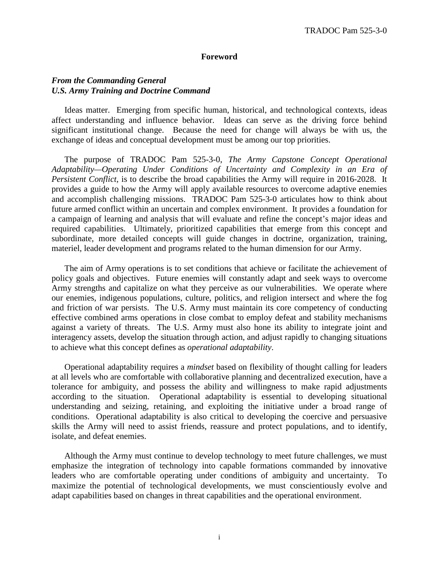#### **Foreword**

## *From the Commanding General U.S. Army Training and Doctrine Command*

Ideas matter. Emerging from specific human, historical, and technological contexts, ideas affect understanding and influence behavior. Ideas can serve as the driving force behind significant institutional change. Because the need for change will always be with us, the exchange of ideas and conceptual development must be among our top priorities.

The purpose of TRADOC Pam 525-3-0, *The Army Capstone Concept Operational Adaptability—Operating Under Conditions of Uncertainty and Complexity in an Era of Persistent Conflict,* is to describe the broad capabilities the Army will require in 2016-2028. It provides a guide to how the Army will apply available resources to overcome adaptive enemies and accomplish challenging missions. TRADOC Pam 525-3-0 articulates how to think about future armed conflict within an uncertain and complex environment. It provides a foundation for a campaign of learning and analysis that will evaluate and refine the concept's major ideas and required capabilities. Ultimately, prioritized capabilities that emerge from this concept and subordinate, more detailed concepts will guide changes in doctrine, organization, training, materiel, leader development and programs related to the human dimension for our Army.

The aim of Army operations is to set conditions that achieve or facilitate the achievement of policy goals and objectives. Future enemies will constantly adapt and seek ways to overcome Army strengths and capitalize on what they perceive as our vulnerabilities. We operate where our enemies, indigenous populations, culture, politics, and religion intersect and where the fog and friction of war persists. The U.S. Army must maintain its core competency of conducting effective combined arms operations in close combat to employ defeat and stability mechanisms against a variety of threats. The U.S. Army must also hone its ability to integrate joint and interagency assets, develop the situation through action, and adjust rapidly to changing situations to achieve what this concept defines as *operational adaptability*.

Operational adaptability requires a *mindset* based on flexibility of thought calling for leaders at all levels who are comfortable with collaborative planning and decentralized execution, have a tolerance for ambiguity, and possess the ability and willingness to make rapid adjustments according to the situation. Operational adaptability is essential to developing situational understanding and seizing, retaining, and exploiting the initiative under a broad range of conditions. Operational adaptability is also critical to developing the coercive and persuasive skills the Army will need to assist friends, reassure and protect populations, and to identify, isolate, and defeat enemies.

Although the Army must continue to develop technology to meet future challenges, we must emphasize the integration of technology into capable formations commanded by innovative leaders who are comfortable operating under conditions of ambiguity and uncertainty. To maximize the potential of technological developments, we must conscientiously evolve and adapt capabilities based on changes in threat capabilities and the operational environment.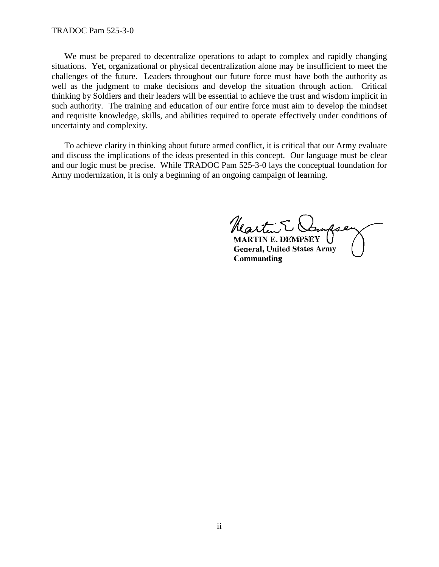#### TRADOC Pam 525-3-0

We must be prepared to decentralize operations to adapt to complex and rapidly changing situations. Yet, organizational or physical decentralization alone may be insufficient to meet the challenges of the future. Leaders throughout our future force must have both the authority as well as the judgment to make decisions and develop the situation through action. Critical thinking by Soldiers and their leaders will be essential to achieve the trust and wisdom implicit in such authority. The training and education of our entire force must aim to develop the mindset and requisite knowledge, skills, and abilities required to operate effectively under conditions of uncertainty and complexity.

To achieve clarity in thinking about future armed conflict, it is critical that our Army evaluate and discuss the implications of the ideas presented in this concept. Our language must be clear and our logic must be precise. While TRADOC Pam 525-3-0 lays the conceptual foundation for Army modernization, it is only a beginning of an ongoing campaign of learning.

**MARTIN E. DEMPSEY** 

**General, United States Army Commanding**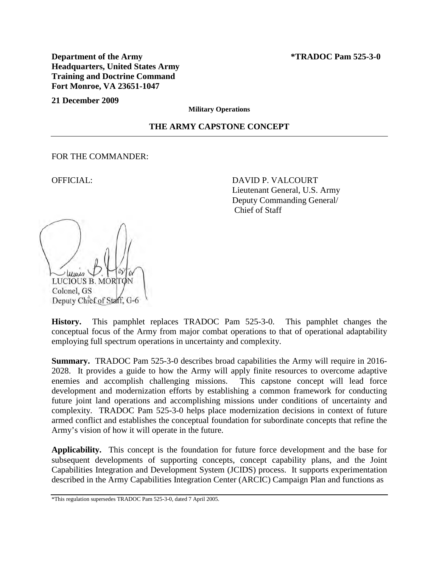**Department of the Army \*TRADOC Pam 525-3-0 Headquarters, United States Army Training and Doctrine Command Fort Monroe, VA 23651-1047** 

**21 December 2009** 

**Military Operations**

## **THE ARMY CAPSTONE CONCEPT**

#### FOR THE COMMANDER:

OFFICIAL: DAVID P. VALCOURT Lieutenant General, U.S. Army Deputy Commanding General/ Chief of Staff

Ulmes LUCIOUS B. MORITON Colonel, GS Deputy Chief of Staff, G-6

**History.** This pamphlet replaces TRADOC Pam 525-3-0. This pamphlet changes the conceptual focus of the Army from major combat operations to that of operational adaptability employing full spectrum operations in uncertainty and complexity.

**Summary.** TRADOC Pam 525-3-0 describes broad capabilities the Army will require in 2016- 2028. It provides a guide to how the Army will apply finite resources to overcome adaptive enemies and accomplish challenging missions. This capstone concept will lead force development and modernization efforts by establishing a common framework for conducting future joint land operations and accomplishing missions under conditions of uncertainty and complexity. TRADOC Pam 525-3-0 helps place modernization decisions in context of future armed conflict and establishes the conceptual foundation for subordinate concepts that refine the Army's vision of how it will operate in the future.

**Applicability.** This concept is the foundation for future force development and the base for subsequent developments of supporting concepts, concept capability plans, and the Joint Capabilities Integration and Development System (JCIDS) process. It supports experimentation described in the Army Capabilities Integration Center (ARCIC) Campaign Plan and functions as

\*This regulation supersedes TRADOC Pam 525-3-0, dated 7 April 2005.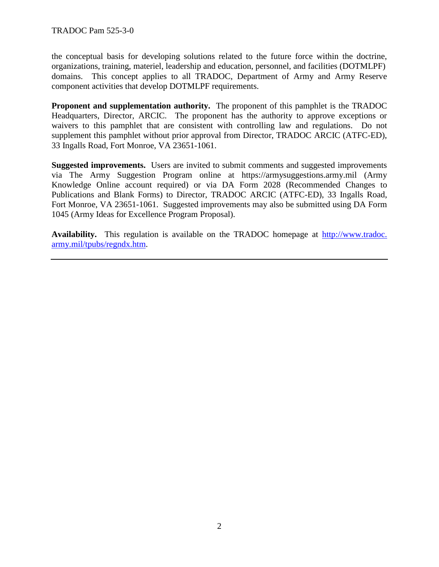the conceptual basis for developing solutions related to the future force within the doctrine, organizations, training, materiel, leadership and education, personnel, and facilities (DOTMLPF) domains. This concept applies to all TRADOC, Department of Army and Army Reserve component activities that develop DOTMLPF requirements.

**Proponent and supplementation authority.** The proponent of this pamphlet is the TRADOC Headquarters, Director, ARCIC. The proponent has the authority to approve exceptions or waivers to this pamphlet that are consistent with controlling law and regulations. Do not supplement this pamphlet without prior approval from Director, TRADOC ARCIC (ATFC-ED), 33 Ingalls Road, Fort Monroe, VA 23651-1061.

**Suggested improvements.** Users are invited to submit comments and suggested improvements via The Army Suggestion Program online at https://armysuggestions.army.mil (Army Knowledge Online account required) or via DA Form 2028 (Recommended Changes to Publications and Blank Forms) to Director, TRADOC ARCIC (ATFC-ED), 33 Ingalls Road, Fort Monroe, VA 23651-1061. Suggested improvements may also be submitted using DA Form 1045 (Army Ideas for Excellence Program Proposal).

**Availability.** This regulation is available on the TRADOC homepage at [http://www.tradoc.](http://www.tradoc.army.mil/tpubs/regndx.htm) [army.mil/tpubs/regndx.htm.](http://www.tradoc.army.mil/tpubs/regndx.htm)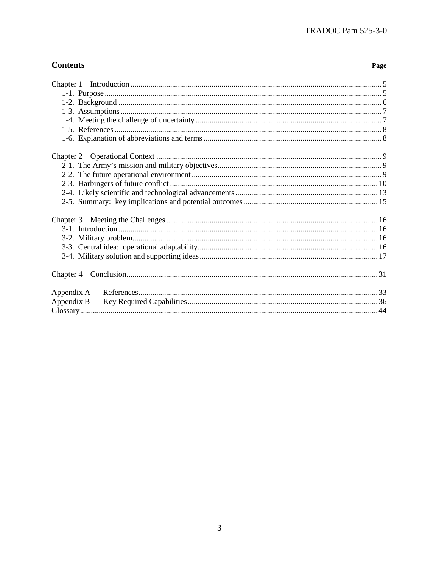# **Contents**

## Page

| Appendix B |  |  |  |  |
|------------|--|--|--|--|
|            |  |  |  |  |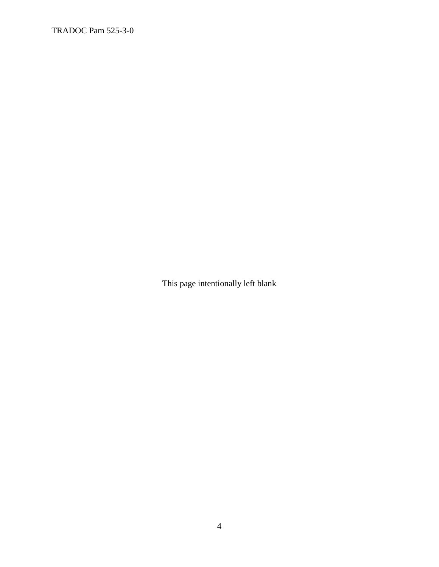This page intentionally left blank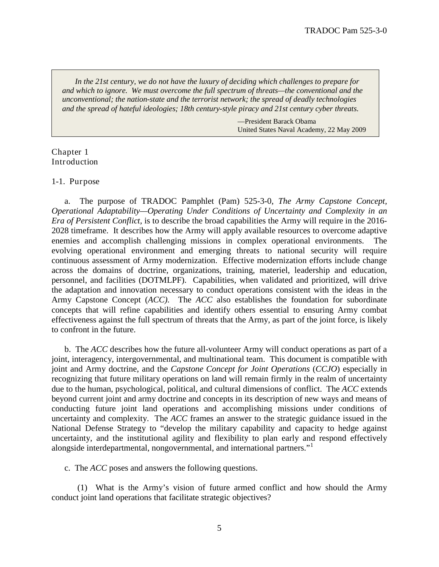*In the 21st century, we do not have the luxury of deciding which challenges to prepare for and which to ignore. We must overcome the full spectrum of threats—the conventional and the unconventional; the nation-state and the terrorist network; the spread of deadly technologies and the spread of hateful ideologies; 18th century-style piracy and 21st century cyber threats.*

> —President Barack Obama United States Naval Academy, 22 May 2009

## <span id="page-8-0"></span>Chapter 1 Introduction

<span id="page-8-1"></span>1-1. Purpose

a. The purpose of TRADOC Pamphlet (Pam) 525-3-0, *The Army Capstone Concept, Operational Adaptability—Operating Under Conditions of Uncertainty and Complexity in an Era of Persistent Conflict,* is to describe the broad capabilities the Army will require in the 2016- 2028 timeframe. It describes how the Army will apply available resources to overcome adaptive enemies and accomplish challenging missions in complex operational environments. The evolving operational environment and emerging threats to national security will require continuous assessment of Army modernization. Effective modernization efforts include change across the domains of doctrine, organizations, training, materiel, leadership and education, personnel, and facilities (DOTMLPF). Capabilities, when validated and prioritized, will drive the adaptation and innovation necessary to conduct operations consistent with the ideas in the Army Capstone Concept (*ACC)*. The *ACC* also establishes the foundation for subordinate concepts that will refine capabilities and identify others essential to ensuring Army combat effectiveness against the full spectrum of threats that the Army, as part of the joint force, is likely to confront in the future.

b. The *ACC* describes how the future all-volunteer Army will conduct operations as part of a joint, interagency, intergovernmental, and multinational team. This document is compatible with joint and Army doctrine, and the *Capstone Concept for Joint Operations* (*CCJO*) especially in recognizing that future military operations on land will remain firmly in the realm of uncertainty due to the human, psychological, political, and cultural dimensions of conflict. The *ACC* extends beyond current joint and army doctrine and concepts in its description of new ways and means of conducting future joint land operations and accomplishing missions under conditions of uncertainty and complexity. The *ACC* frames an answer to the strategic guidance issued in the National Defense Strategy to "develop the military capability and capacity to hedge against uncertainty, and the institutional agility and flexibility to plan early and respond effectively alongside interdepartmental, nongovernmental, and international partners."[1](#page-55-0)

c. The *ACC* poses and answers the following questions.

 (1) What is the Army's vision of future armed conflict and how should the Army conduct joint land operations that facilitate strategic objectives?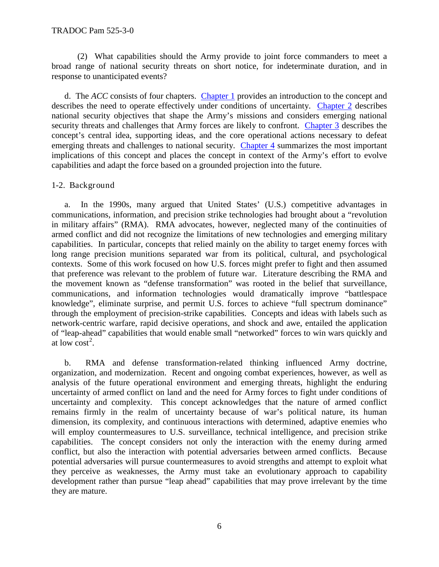#### TRADOC Pam 525-3-0

 (2) What capabilities should the Army provide to joint force commanders to meet a broad range of national security threats on short notice, for indeterminate duration, and in response to unanticipated events?

d. The *ACC* consists of four chapters. Chapter 1 provides an introduction to the concept and describes the need to operate effectively under conditions of uncertainty. Chapter 2 describes national security objectives that shape the Army's missions and considers emerging national security threats and challenges that Army forces are likely to confront. Chapter 3 describes the concept's central idea, supporting ideas, and the core operational actions necessary to defeat emerging threats and challenges to national security. Chapter 4 summarizes the most important implications of this concept and places the concept in context of the Army's effort to evolve capabilities and adapt the force based on a grounded projection into the future.

## <span id="page-9-0"></span>1-2. Background

a. In the 1990s, many argued that United States' (U.S.) competitive advantages in communications, information, and precision strike technologies had brought about a "revolution in military affairs" (RMA). RMA advocates, however, neglected many of the continuities of armed conflict and did not recognize the limitations of new technologies and emerging military capabilities. In particular, concepts that relied mainly on the ability to target enemy forces with long range precision munitions separated war from its political, cultural, and psychological contexts. Some of this work focused on how U.S. forces might prefer to fight and then assumed that preference was relevant to the problem of future war. Literature describing the RMA and the movement known as "defense transformation" was rooted in the belief that surveillance, communications, and information technologies would dramatically improve "battlespace knowledge", eliminate surprise, and permit U.S. forces to achieve "full spectrum dominance" through the employment of precision-strike capabilities. Concepts and ideas with labels such as network-centric warfare, rapid decisive operations, and shock and awe, entailed the application of "leap-ahead" capabilities that would enable small "networked" forces to win wars quickly and at low  $\csc^2$  $\csc^2$ .

 b. RMA and defense transformation-related thinking influenced Army doctrine, organization, and modernization. Recent and ongoing combat experiences, however, as well as analysis of the future operational environment and emerging threats, highlight the enduring uncertainty of armed conflict on land and the need for Army forces to fight under conditions of uncertainty and complexity. This concept acknowledges that the nature of armed conflict remains firmly in the realm of uncertainty because of war's political nature, its human dimension, its complexity, and continuous interactions with determined, adaptive enemies who will employ countermeasures to U.S. surveillance, technical intelligence, and precision strike capabilities. The concept considers not only the interaction with the enemy during armed conflict, but also the interaction with potential adversaries between armed conflicts. Because potential adversaries will pursue countermeasures to avoid strengths and attempt to exploit what they perceive as weaknesses, the Army must take an evolutionary approach to capability development rather than pursue "leap ahead" capabilities that may prove irrelevant by the time they are mature.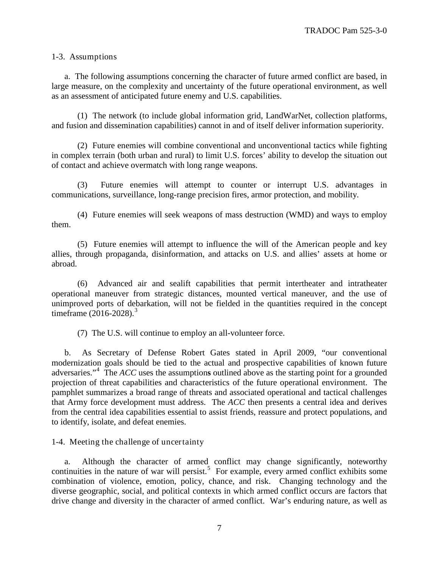## <span id="page-10-0"></span>1-3. Assumptions

a. The following assumptions concerning the character of future armed conflict are based, in large measure, on the complexity and uncertainty of the future operational environment, as well as an assessment of anticipated future enemy and U.S. capabilities.

 (1) The network (to include global information grid, LandWarNet, collection platforms, and fusion and dissemination capabilities) cannot in and of itself deliver information superiority.

 (2) Future enemies will combine conventional and unconventional tactics while fighting in complex terrain (both urban and rural) to limit U.S. forces' ability to develop the situation out of contact and achieve overmatch with long range weapons.

 (3) Future enemies will attempt to counter or interrupt U.S. advantages in communications, surveillance, long-range precision fires, armor protection, and mobility.

 (4) Future enemies will seek weapons of mass destruction (WMD) and ways to employ them.

 (5) Future enemies will attempt to influence the will of the American people and key allies, through propaganda, disinformation, and attacks on U.S. and allies' assets at home or abroad.

 (6) Advanced air and sealift capabilities that permit intertheater and intratheater operational maneuver from strategic distances, mounted vertical maneuver, and the use of unimproved ports of debarkation, will not be fielded in the quantities required in the concept timeframe  $(2016 - 2028)^3$  $(2016 - 2028)^3$ 

(7) The U.S. will continue to employ an all-volunteer force.

b. As Secretary of Defense Robert Gates stated in April 2009, "our conventional modernization goals should be tied to the actual and prospective capabilities of known future adversaries."[4](#page-55-3) The *ACC* uses the assumption**s** outlined above as the starting point for a grounded projection of threat capabilities and characteristics of the future operational environment. The pamphlet summarizes a broad range of threats and associated operational and tactical challenges that Army force development must address. The *ACC* then presents a central idea and derives from the central idea capabilities essential to assist friends, reassure and protect populations, and to identify, isolate, and defeat enemies.

<span id="page-10-1"></span>1-4. Meeting the challenge of uncertainty

a. Although the character of armed conflict may change significantly, noteworthy continuities in the nature of war will persist.<sup>[5](#page-55-4)</sup> For example, every armed conflict exhibits some combination of violence, emotion, policy, chance, and risk. Changing technology and the diverse geographic, social, and political contexts in which armed conflict occurs are factors that drive change and diversity in the character of armed conflict. War's enduring nature, as well as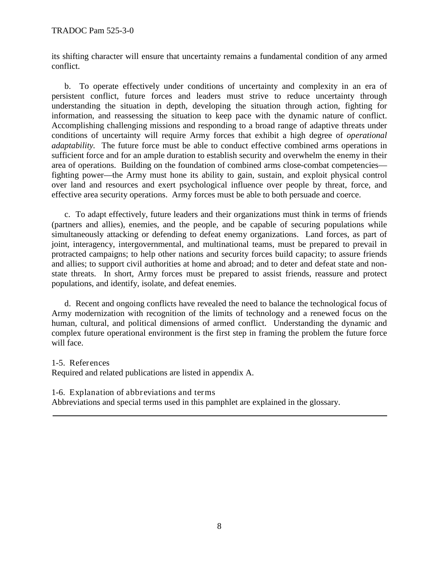its shifting character will ensure that uncertainty remains a fundamental condition of any armed conflict.

b. To operate effectively under conditions of uncertainty and complexity in an era of persistent conflict, future forces and leaders must strive to reduce uncertainty through understanding the situation in depth, developing the situation through action, fighting for information, and reassessing the situation to keep pace with the dynamic nature of conflict. Accomplishing challenging missions and responding to a broad range of adaptive threats under conditions of uncertainty will require Army forces that exhibit a high degree of *operational adaptability.* The future force must be able to conduct effective combined arms operations in sufficient force and for an ample duration to establish security and overwhelm the enemy in their area of operations. Building on the foundation of combined arms close-combat competencies fighting power—the Army must hone its ability to gain, sustain, and exploit physical control over land and resources and exert psychological influence over people by threat, force, and effective area security operations. Army forces must be able to both persuade and coerce.

c. To adapt effectively, future leaders and their organizations must think in terms of friends (partners and allies), enemies, and the people, and be capable of securing populations while simultaneously attacking or defending to defeat enemy organizations. Land forces, as part of joint, interagency, intergovernmental, and multinational teams, must be prepared to prevail in protracted campaigns; to help other nations and security forces build capacity; to assure friends and allies; to support civil authorities at home and abroad; and to deter and defeat state and nonstate threats. In short, Army forces must be prepared to assist friends, reassure and protect populations, and identify, isolate, and defeat enemies.

d. Recent and ongoing conflicts have revealed the need to balance the technological focus of Army modernization with recognition of the limits of technology and a renewed focus on the human, cultural, and political dimensions of armed conflict. Understanding the dynamic and complex future operational environment is the first step in framing the problem the future force will face.

<span id="page-11-0"></span>1-5. References

Required and related publications are listed in appendix A.

<span id="page-11-1"></span>1-6. Explanation of abbreviations and terms

Abbreviations and special terms used in this pamphlet are explained in the glossary.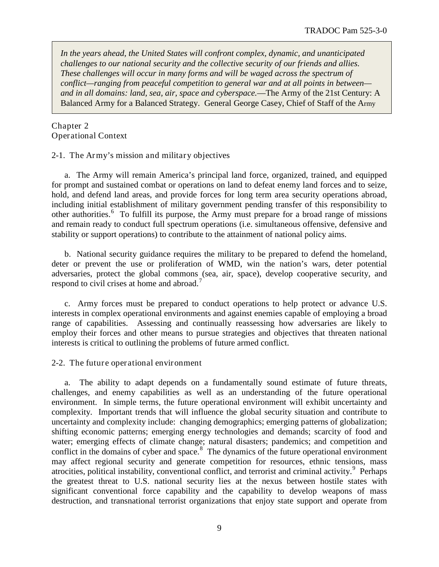<span id="page-12-0"></span>*In the years ahead, the United States will confront complex, dynamic, and unanticipated challenges to our national security and the collective security of our friends and allies. These challenges will occur in many forms and will be waged across the spectrum of conflict—ranging from peaceful competition to general war and at all points in between and in all domains: land, sea, air, space and cyberspace.*—The Army of the 21st Century: A Balanced Army for a Balanced Strategy. General George Casey, Chief of Staff of the Army

## Chapter 2 Operational Context

<span id="page-12-1"></span>2-1. The Army's mission and military objectives

a. The Army will remain America's principal land force, organized, trained, and equipped for prompt and sustained combat or operations on land to defeat enemy land forces and to seize, hold, and defend land areas, and provide forces for long term area security operations abroad, including initial establishment of military government pending transfer of this responsibility to other authorities.<sup>[6](#page-55-5)</sup> To fulfill its purpose, the Army must prepare for a broad range of missions and remain ready to conduct full spectrum operations (i.e. simultaneous offensive, defensive and stability or support operations) to contribute to the attainment of national policy aims.

b. National security guidance requires the military to be prepared to defend the homeland, deter or prevent the use or proliferation of WMD, win the nation's wars, deter potential adversaries, protect the global commons (sea, air, space), develop cooperative security, and respond to civil crises at home and abroad.<sup>[7](#page-55-6)</sup>

c. Army forces must be prepared to conduct operations to help protect or advance U.S. interests in complex operational environments and against enemies capable of employing a broad range of capabilities. Assessing and continually reassessing how adversaries are likely to employ their forces and other means to pursue strategies and objectives that threaten national interests is critical to outlining the problems of future armed conflict.

## <span id="page-12-2"></span>2-2. The future operational environment

a. The ability to adapt depends on a fundamentally sound estimate of future threats, challenges, and enemy capabilities as well as an understanding of the future operational environment. In simple terms, the future operational environment will exhibit uncertainty and complexity. Important trends that will influence the global security situation and contribute to uncertainty and complexity include: changing demographics; emerging patterns of globalization; shifting economic patterns; emerging energy technologies and demands; scarcity of food and water; emerging effects of climate change; natural disasters; pandemics; and competition and conflict in the domains of cyber and space.<sup>[8](#page-55-7)</sup> The dynamics of the future operational environment may affect regional security and generate competition for resources, ethnic tensions, mass atrocities, political instability, conventional conflict, and terrorist and criminal activity.<sup>[9](#page-55-8)</sup> Perhaps the greatest threat to U.S. national security lies at the nexus between hostile states with significant conventional force capability and the capability to develop weapons of mass destruction, and transnational terrorist organizations that enjoy state support and operate from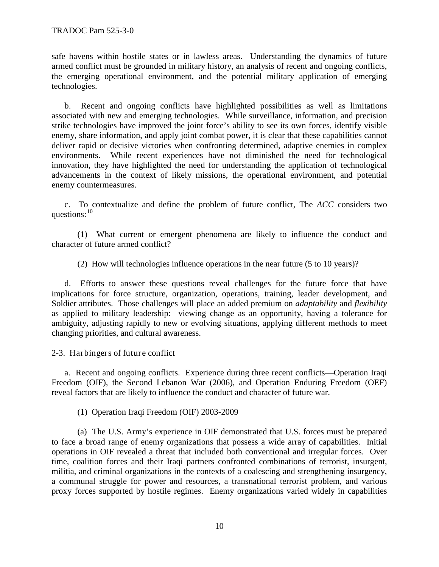safe havens within hostile states or in lawless areas. Understanding the dynamics of future armed conflict must be grounded in military history, an analysis of recent and ongoing conflicts, the emerging operational environment, and the potential military application of emerging technologies.

b. Recent and ongoing conflicts have highlighted possibilities as well as limitations associated with new and emerging technologies. While surveillance, information, and precision strike technologies have improved the joint force's ability to see its own forces, identify visible enemy, share information, and apply joint combat power, it is clear that these capabilities cannot deliver rapid or decisive victories when confronting determined, adaptive enemies in complex environments. While recent experiences have not diminished the need for technological innovation, they have highlighted the need for understanding the application of technological advancements in the context of likely missions, the operational environment, and potential enemy countermeasures.

c. To contextualize and define the problem of future conflict, The *ACC* considers two questions: $10$ 

 (1) What current or emergent phenomena are likely to influence the conduct and character of future armed conflict?

(2) How will technologies influence operations in the near future (5 to 10 years)?

d. Efforts to answer these questions reveal challenges for the future force that have implications for force structure, organization, operations, training, leader development, and Soldier attributes. Those challenges will place an added premium on *adaptability* and *flexibility* as applied to military leadership: viewing change as an opportunity, having a tolerance for ambiguity, adjusting rapidly to new or evolving situations, applying different methods to meet changing priorities, and cultural awareness.

<span id="page-13-0"></span>2-3. Harbingers of future conflict

a. Recent and ongoing conflicts. Experience during three recent conflicts—Operation Iraqi Freedom (OIF), the Second Lebanon War (2006), and Operation Enduring Freedom (OEF) reveal factors that are likely to influence the conduct and character of future war.

(1) Operation Iraqi Freedom (OIF) 2003-2009

 (a) The U.S. Army's experience in OIF demonstrated that U.S. forces must be prepared to face a broad range of enemy organizations that possess a wide array of capabilities. Initial operations in OIF revealed a threat that included both conventional and irregular forces. Over time, coalition forces and their Iraqi partners confronted combinations of terrorist, insurgent, militia, and criminal organizations in the contexts of a coalescing and strengthening insurgency, a communal struggle for power and resources, a transnational terrorist problem, and various proxy forces supported by hostile regimes. Enemy organizations varied widely in capabilities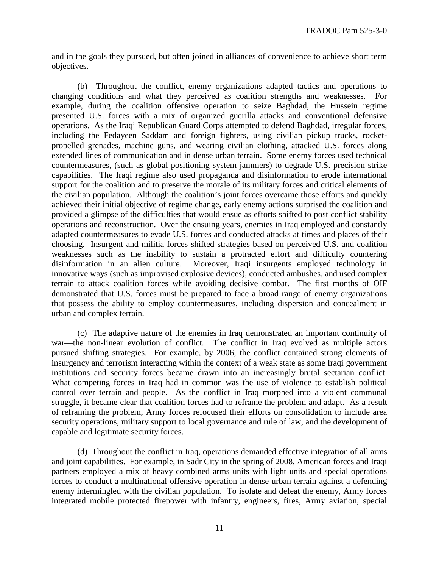and in the goals they pursued, but often joined in alliances of convenience to achieve short term objectives.

 (b) Throughout the conflict, enemy organizations adapted tactics and operations to changing conditions and what they perceived as coalition strengths and weaknesses. For example, during the coalition offensive operation to seize Baghdad, the Hussein regime presented U.S. forces with a mix of organized guerilla attacks and conventional defensive operations. As the Iraqi Republican Guard Corps attempted to defend Baghdad, irregular forces, including the Fedayeen Saddam and foreign fighters, using civilian pickup trucks, rocketpropelled grenades, machine guns, and wearing civilian clothing, attacked U.S. forces along extended lines of communication and in dense urban terrain. Some enemy forces used technical countermeasures, (such as global positioning system jammers) to degrade U.S. precision strike capabilities. The Iraqi regime also used propaganda and disinformation to erode international support for the coalition and to preserve the morale of its military forces and critical elements of the civilian population. Although the coalition's joint forces overcame those efforts and quickly achieved their initial objective of regime change, early enemy actions surprised the coalition and provided a glimpse of the difficulties that would ensue as efforts shifted to post conflict stability operations and reconstruction. Over the ensuing years, enemies in Iraq employed and constantly adapted countermeasures to evade U.S. forces and conducted attacks at times and places of their choosing. Insurgent and militia forces shifted strategies based on perceived U.S. and coalition weaknesses such as the inability to sustain a protracted effort and difficulty countering disinformation in an alien culture. Moreover, Iraqi insurgents employed technology in innovative ways (such as improvised explosive devices), conducted ambushes, and used complex terrain to attack coalition forces while avoiding decisive combat. The first months of OIF demonstrated that U.S. forces must be prepared to face a broad range of enemy organizations that possess the ability to employ countermeasures, including dispersion and concealment in urban and complex terrain.

 (c) The adaptive nature of the enemies in Iraq demonstrated an important continuity of war—the non-linear evolution of conflict*.* The conflict in Iraq evolved as multiple actors pursued shifting strategies. For example, by 2006, the conflict contained strong elements of insurgency and terrorism interacting within the context of a weak state as some Iraqi government institutions and security forces became drawn into an increasingly brutal sectarian conflict. What competing forces in Iraq had in common was the use of violence to establish political control over terrain and people. As the conflict in Iraq morphed into a violent communal struggle, it became clear that coalition forces had to reframe the problem and adapt. As a result of reframing the problem, Army forces refocused their efforts on consolidation to include area security operations, military support to local governance and rule of law, and the development of capable and legitimate security forces.

 (d) Throughout the conflict in Iraq, operations demanded effective integration of all arms and joint capabilities. For example, in Sadr City in the spring of 2008, American forces and Iraqi partners employed a mix of heavy combined arms units with light units and special operations forces to conduct a multinational offensive operation in dense urban terrain against a defending enemy intermingled with the civilian population. To isolate and defeat the enemy, Army forces integrated mobile protected firepower with infantry, engineers, fires, Army aviation, special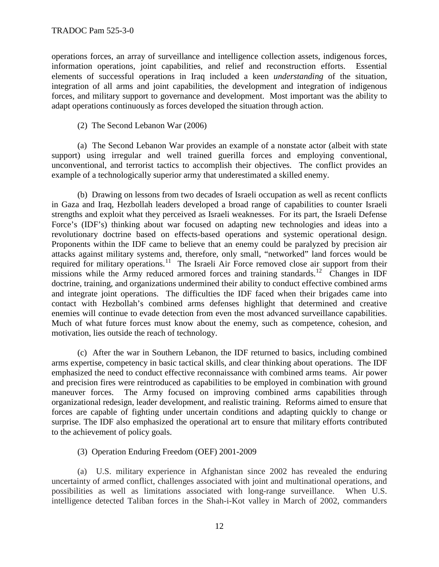operations forces, an array of surveillance and intelligence collection assets, indigenous forces, information operations, joint capabilities, and relief and reconstruction efforts. Essential elements of successful operations in Iraq included a keen *understanding* of the situation, integration of all arms and joint capabilities, the development and integration of indigenous forces, and military support to governance and development. Most important was the ability to adapt operations continuously as forces developed the situation through action.

(2)The Second Lebanon War (2006)

 (a) The Second Lebanon War provides an example of a nonstate actor (albeit with state support) using irregular and well trained guerilla forces and employing conventional, unconventional, and terrorist tactics to accomplish their objectives. The conflict provides an example of a technologically superior army that underestimated a skilled enemy.

 (b) Drawing on lessons from two decades of Israeli occupation as well as recent conflicts in Gaza and Iraq, Hezbollah leaders developed a broad range of capabilities to counter Israeli strengths and exploit what they perceived as Israeli weaknesses. For its part, the Israeli Defense Force's (IDF's) thinking about war focused on adapting new technologies and ideas into a revolutionary doctrine based on effects-based operations and systemic operational design. Proponents within the IDF came to believe that an enemy could be paralyzed by precision air attacks against military systems and, therefore, only small, "networked" land forces would be required for military operations.<sup>11</sup> The Israeli Air Force removed close air support from their missions while the Army reduced armored forces and training standards.<sup>[12](#page-56-1)</sup> Changes in IDF doctrine, training, and organizations undermined their ability to conduct effective combined arms and integrate joint operations. The difficulties the IDF faced when their brigades came into contact with Hezbollah's combined arms defenses highlight that determined and creative enemies will continue to evade detection from even the most advanced surveillance capabilities. Much of what future forces must know about the enemy, such as competence, cohesion, and motivation, lies outside the reach of technology.

 (c) After the war in Southern Lebanon, the IDF returned to basics, including combined arms expertise, competency in basic tactical skills, and clear thinking about operations. The IDF emphasized the need to conduct effective reconnaissance with combined arms teams. Air power and precision fires were reintroduced as capabilities to be employed in combination with ground maneuver forces. The Army focused on improving combined arms capabilities through organizational redesign, leader development, and realistic training. Reforms aimed to ensure that forces are capable of fighting under uncertain conditions and adapting quickly to change or surprise. The IDF also emphasized the operational art to ensure that military efforts contributed to the achievement of policy goals.

(3) Operation Enduring Freedom (OEF) 2001-2009

 (a) U.S. military experience in Afghanistan since 2002 has revealed the enduring uncertainty of armed conflict, challenges associated with joint and multinational operations, and possibilities as well as limitations associated with long-range surveillance. When U.S. intelligence detected Taliban forces in the Shah-i-Kot valley in March of 2002, commanders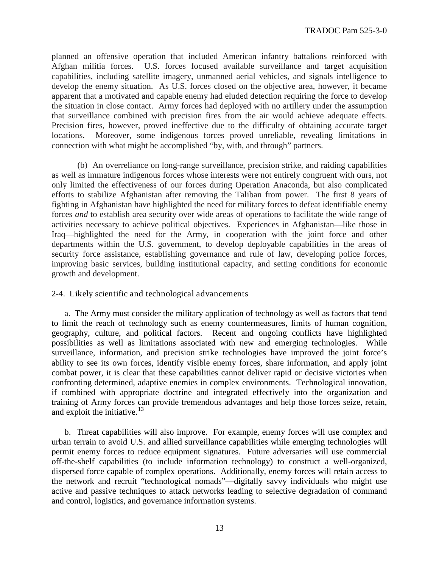planned an offensive operation that included American infantry battalions reinforced with Afghan militia forces. U.S. forces focused available surveillance and target acquisition capabilities, including satellite imagery, unmanned aerial vehicles, and signals intelligence to develop the enemy situation. As U.S. forces closed on the objective area, however, it became apparent that a motivated and capable enemy had eluded detection requiring the force to develop the situation in close contact. Army forces had deployed with no artillery under the assumption that surveillance combined with precision fires from the air would achieve adequate effects. Precision fires, however, proved ineffective due to the difficulty of obtaining accurate target locations. Moreover, some indigenous forces proved unreliable, revealing limitations in connection with what might be accomplished "by, with, and through" partners.

 (b) An overreliance on long-range surveillance, precision strike, and raiding capabilities as well as immature indigenous forces whose interests were not entirely congruent with ours, not only limited the effectiveness of our forces during Operation Anaconda, but also complicated efforts to stabilize Afghanistan after removing the Taliban from power. The first 8 years of fighting in Afghanistan have highlighted the need for military forces to defeat identifiable enemy forces *and* to establish area security over wide areas of operations to facilitate the wide range of activities necessary to achieve political objectives. Experiences in Afghanistan—like those in Iraq—highlighted the need for the Army, in cooperation with the joint force and other departments within the U.S. government, to develop deployable capabilities in the areas of security force assistance, establishing governance and rule of law, developing police forces, improving basic services, building institutional capacity, and setting conditions for economic growth and development.

## <span id="page-16-0"></span>2-4. Likely scientific and technological advancements

a. The Army must consider the military application of technology as well as factors that tend to limit the reach of technology such as enemy countermeasures, limits of human cognition, geography, culture, and political factors. Recent and ongoing conflicts have highlighted possibilities as well as limitations associated with new and emerging technologies. While surveillance, information, and precision strike technologies have improved the joint force's ability to see its own forces, identify visible enemy forces, share information, and apply joint combat power, it is clear that these capabilities cannot deliver rapid or decisive victories when confronting determined, adaptive enemies in complex environments. Technological innovation, if combined with appropriate doctrine and integrated effectively into the organization and training of Army forces can provide tremendous advantages and help those forces seize, retain, and exploit the initiative.  $13<sup>13</sup>$  $13<sup>13</sup>$ 

b. Threat capabilities will also improve. For example, enemy forces will use complex and urban terrain to avoid U.S. and allied surveillance capabilities while emerging technologies will permit enemy forces to reduce equipment signatures. Future adversaries will use commercial off-the-shelf capabilities (to include information technology) to construct a well-organized, dispersed force capable of complex operations. Additionally, enemy forces will retain access to the network and recruit "technological nomads"—digitally savvy individuals who might use active and passive techniques to attack networks leading to selective degradation of command and control, logistics, and governance information systems.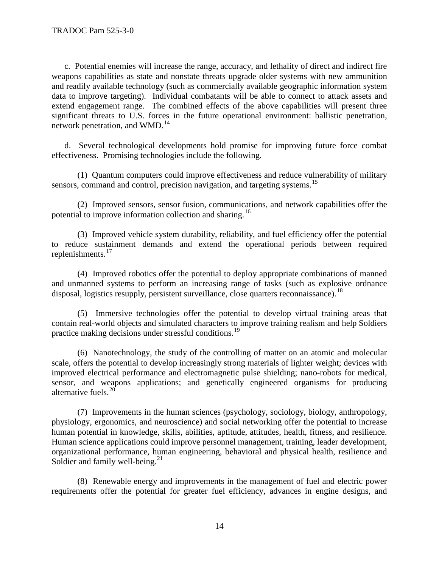c. Potential enemies will increase the range, accuracy, and lethality of direct and indirect fire weapons capabilities as state and nonstate threats upgrade older systems with new ammunition and readily available technology (such as commercially available geographic information system data to improve targeting). Individual combatants will be able to connect to attack assets and extend engagement range. The combined effects of the above capabilities will present three significant threats to U.S. forces in the future operational environment: ballistic penetration, network penetration, and WMD.<sup>[14](#page-56-3)</sup>

d. Several technological developments hold promise for improving future force combat effectiveness. Promising technologies include the following.

 (1) Quantum computers could improve effectiveness and reduce vulnerability of military sensors, command and control, precision navigation, and targeting systems.<sup>[15](#page-56-4)</sup>

 (2) Improved sensors, sensor fusion, communications, and network capabilities offer the potential to improve information collection and sharing.<sup>[16](#page-56-5)</sup>

 (3) Improved vehicle system durability, reliability, and fuel efficiency offer the potential to reduce sustainment demands and extend the operational periods between required replenishments.<sup>[17](#page-56-6)</sup>

 (4) Improved robotics offer the potential to deploy appropriate combinations of manned and unmanned systems to perform an increasing range of tasks (such as explosive ordnance disposal, logistics resupply, persistent surveillance, close quarters reconnaissance).<sup>[18](#page-56-7)</sup>

 (5) Immersive technologies offer the potential to develop virtual training areas that contain real-world objects and simulated characters to improve training realism and help Soldiers practice making decisions under stressful conditions.[19](#page-56-8)

 (6) Nanotechnology, the study of the controlling of matter on an atomic and molecular scale, offers the potential to develop increasingly strong materials of lighter weight; devices with improved electrical performance and electromagnetic pulse shielding; nano-robots for medical, sensor, and weapons applications; and genetically engineered organisms for producing alternative fuels. $20$ 

 (7) Improvements in the human sciences (psychology, sociology, biology, anthropology, physiology, ergonomics, and neuroscience) and social networking offer the potential to increase human potential in knowledge, skills, abilities, aptitude, attitudes, health, fitness, and resilience. Human science applications could improve personnel management, training, leader development, organizational performance, human engineering, behavioral and physical health, resilience and Soldier and family well-being.<sup>[21](#page-56-10)</sup>

 (8) Renewable energy and improvements in the management of fuel and electric power requirements offer the potential for greater fuel efficiency, advances in engine designs, and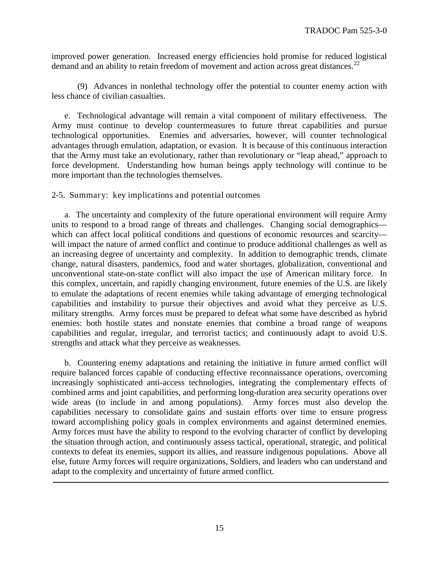improved power generation. Increased energy efficiencies hold promise for reduced logistical demand and an ability to retain freedom of movement and action across great distances.<sup>[22](#page-56-11)</sup>

 (9) Advances in nonlethal technology offer the potential to counter enemy action with less chance of civilian casualties.

e. Technological advantage will remain a vital component of military effectiveness. The Army must continue to develop countermeasures to future threat capabilities and pursue technological opportunities. Enemies and adversaries, however, will counter technological advantages through emulation, adaptation, or evasion. It is because of this continuous interaction that the Army must take an evolutionary, rather than revolutionary or "leap ahead," approach to force development. Understanding how human beings apply technology will continue to be more important than the technologies themselves.

<span id="page-18-0"></span>2-5. Summary: key implications and potential outcomes

a. The uncertainty and complexity of the future operational environment will require Army units to respond to a broad range of threats and challenges. Changing social demographics which can affect local political conditions and questions of economic resources and scarcity will impact the nature of armed conflict and continue to produce additional challenges as well as an increasing degree of uncertainty and complexity. In addition to demographic trends, climate change, natural disasters, pandemics, food and water shortages, globalization, conventional and unconventional state-on-state conflict will also impact the use of American military force. In this complex, uncertain, and rapidly changing environment, future enemies of the U.S. are likely to emulate the adaptations of recent enemies while taking advantage of emerging technological capabilities and instability to pursue their objectives and avoid what they perceive as U.S. military strengths. Army forces must be prepared to defeat what some have described as hybrid enemies: both hostile states and nonstate enemies that combine a broad range of weapons capabilities and regular, irregular, and terrorist tactics; and continuously adapt to avoid U.S. strengths and attack what they perceive as weaknesses.

b. Countering enemy adaptations and retaining the initiative in future armed conflict will require balanced forces capable of conducting effective reconnaissance operations, overcoming increasingly sophisticated anti-access technologies, integrating the complementary effects of combined arms and joint capabilities, and performing long-duration area security operations over wide areas (to include in and among populations). Army forces must also develop the capabilities necessary to consolidate gains and sustain efforts over time to ensure progress toward accomplishing policy goals in complex environments and against determined enemies. Army forces must have the ability to respond to the evolving character of conflict by developing the situation through action, and continuously assess tactical, operational, strategic, and political contexts to defeat its enemies, support its allies, and reassure indigenous populations. Above all else, future Army forces will require organizations, Soldiers, and leaders who can understand and adapt to the complexity and uncertainty of future armed conflict.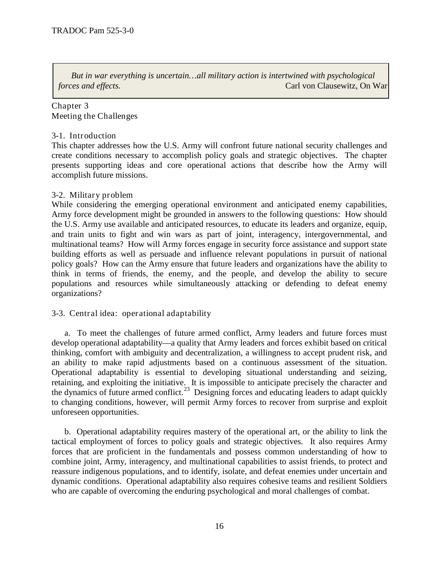*But in war everything is uncertain…all military action is intertwined with psychological forces and effects.* **Carl von Clausewitz, On War** 

## <span id="page-19-0"></span>Chapter 3 Meeting the Challenges

## <span id="page-19-1"></span>3-1. Introduction

This chapter addresses how the U.S. Army will confront future national security challenges and create conditions necessary to accomplish policy goals and strategic objectives. The chapter presents supporting ideas and core operational actions that describe how the Army will accomplish future missions.

## <span id="page-19-2"></span>3-2. Military problem

While considering the emerging operational environment and anticipated enemy capabilities, Army force development might be grounded in answers to the following questions: How should the U.S. Army use available and anticipated resources, to educate its leaders and organize, equip, and train units to fight and win wars as part of joint, interagency, intergovernmental, and multinational teams? How will Army forces engage in security force assistance and support state building efforts as well as persuade and influence relevant populations in pursuit of national policy goals? How can the Army ensure that future leaders and organizations have the ability to think in terms of friends, the enemy, and the people, and develop the ability to secure populations and resources while simultaneously attacking or defending to defeat enemy organizations?

## <span id="page-19-3"></span>3-3. Central idea: operational adaptability

a. To meet the challenges of future armed conflict, Army leaders and future forces must develop operational adaptability—a quality that Army leaders and forces exhibit based on critical thinking, comfort with ambiguity and decentralization, a willingness to accept prudent risk, and an ability to make rapid adjustments based on a continuous assessment of the situation. Operational adaptability is essential to developing situational understanding and seizing, retaining, and exploiting the initiative. It is impossible to anticipate precisely the character and the dynamics of future armed conflict.<sup>23</sup> Designing forces and educating leaders to adapt quickly to changing conditions, however, will permit Army forces to recover from surprise and exploit unforeseen opportunities.

b. Operational adaptability requires mastery of the operational art, or the ability to link the tactical employment of forces to policy goals and strategic objectives. It also requires Army forces that are proficient in the fundamentals and possess common understanding of how to combine joint, Army, interagency, and multinational capabilities to assist friends, to protect and reassure indigenous populations, and to identify, isolate, and defeat enemies under uncertain and dynamic conditions. Operational adaptability also requires cohesive teams and resilient Soldiers who are capable of overcoming the enduring psychological and moral challenges of combat.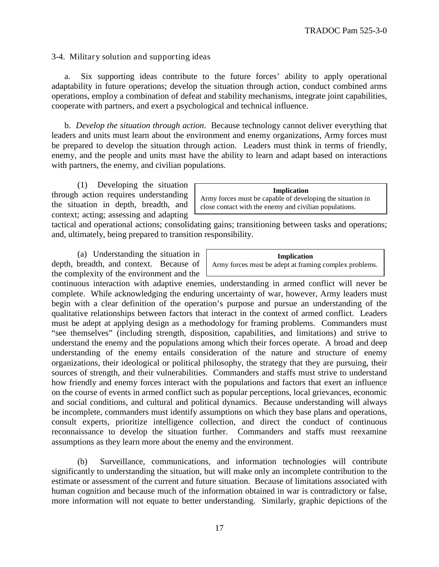## <span id="page-20-0"></span>3-4. Military solution and supporting ideas

a. Six supporting ideas contribute to the future forces' ability to apply operational adaptability in future operations; develop the situation through action, conduct combined arms operations, employ a combination of defeat and stability mechanisms, integrate joint capabilities, cooperate with partners, and exert a psychological and technical influence.

b. *Develop the situation through action*. Because technology cannot deliver everything that leaders and units must learn about the environment and enemy organizations, Army forces must be prepared to develop the situation through action. Leaders must think in terms of friendly, enemy, and the people and units must have the ability to learn and adapt based on interactions with partners, the enemy, and civilian populations.

 (1) Developing the situation through action requires understanding the situation in depth, breadth, and context; acting; assessing and adapting

**Implication** Army forces must be capable of developing the situation in close contact with the enemy and civilian populations.

tactical and operational actions; consolidating gains; transitioning between tasks and operations; and, ultimately, being prepared to transition responsibility.

 (a) Understanding the situation in depth, breadth, and context. Because of the complexity of the environment and the

| Implication                                            |
|--------------------------------------------------------|
| Army forces must be adept at framing complex problems. |

continuous interaction with adaptive enemies, understanding in armed conflict will never be complete. While acknowledging the enduring uncertainty of war, however, Army leaders must begin with a clear definition of the operation's purpose and pursue an understanding of the qualitative relationships between factors that interact in the context of armed conflict. Leaders must be adept at applying design as a methodology for framing problems. Commanders must "see themselves" (including strength, disposition, capabilities, and limitations) and strive to understand the enemy and the populations among which their forces operate. A broad and deep understanding of the enemy entails consideration of the nature and structure of enemy organizations, their ideological or political philosophy, the strategy that they are pursuing, their sources of strength, and their vulnerabilities. Commanders and staffs must strive to understand how friendly and enemy forces interact with the populations and factors that exert an influence on the course of events in armed conflict such as popular perceptions, local grievances, economic and social conditions, and cultural and political dynamics. Because understanding will always be incomplete, commanders must identify assumptions on which they base plans and operations, consult experts, prioritize intelligence collection, and direct the conduct of continuous reconnaissance to develop the situation further. Commanders and staffs must reexamine assumptions as they learn more about the enemy and the environment.

 (b) Surveillance, communications, and information technologies will contribute significantly to understanding the situation, but will make only an incomplete contribution to the estimate or assessment of the current and future situation. Because of limitations associated with human cognition and because much of the information obtained in war is contradictory or false, more information will not equate to better understanding. Similarly, graphic depictions of the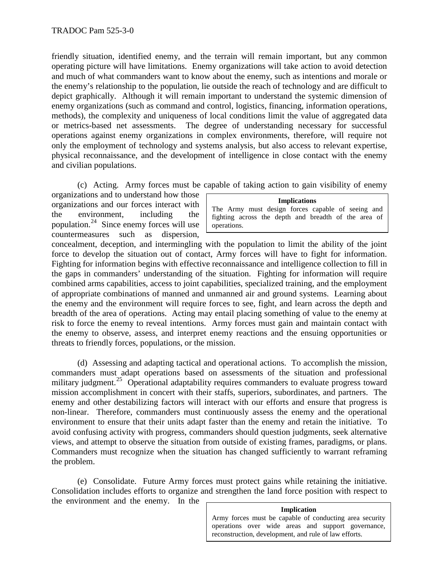friendly situation, identified enemy, and the terrain will remain important, but any common operating picture will have limitations. Enemy organizations will take action to avoid detection and much of what commanders want to know about the enemy, such as intentions and morale or the enemy's relationship to the population, lie outside the reach of technology and are difficult to depict graphically. Although it will remain important to understand the systemic dimension of enemy organizations (such as command and control, logistics, financing, information operations, methods), the complexity and uniqueness of local conditions limit the value of aggregated data or metrics-based net assessments. The degree of understanding necessary for successful operations against enemy organizations in complex environments, therefore, will require not only the employment of technology and systems analysis, but also access to relevant expertise, physical reconnaissance, and the development of intelligence in close contact with the enemy and civilian populations.

(c) Acting. Army forces must be capable of taking action to gain visibility of enemy

organizations and to understand how those organizations and our forces interact with the environment, including the population. $^{24}$  $^{24}$  $^{24}$  Since enemy forces will use countermeasures such as dispersion,

## **Implications** The Army must design forces capable of seeing and fighting across the depth and breadth of the area of operations.

concealment, deception, and intermingling with the population to limit the ability of the joint force to develop the situation out of contact, Army forces will have to fight for information. Fighting for information begins with effective reconnaissance and intelligence collection to fill in the gaps in commanders' understanding of the situation. Fighting for information will require combined arms capabilities, access to joint capabilities, specialized training, and the employment of appropriate combinations of manned and unmanned air and ground systems. Learning about the enemy and the environment will require forces to see, fight, and learn across the depth and breadth of the area of operations. Acting may entail placing something of value to the enemy at risk to force the enemy to reveal intentions. Army forces must gain and maintain contact with the enemy to observe, assess, and interpret enemy reactions and the ensuing opportunities or threats to friendly forces, populations, or the mission.

 (d) Assessing and adapting tactical and operational actions. To accomplish the mission, commanders must adapt operations based on assessments of the situation and professional military judgment.<sup>25</sup> Operational adaptability requires commanders to evaluate progress toward mission accomplishment in concert with their staffs, superiors, subordinates, and partners. The enemy and other destabilizing factors will interact with our efforts and ensure that progress is non-linear. Therefore, commanders must continuously assess the enemy and the operational environment to ensure that their units adapt faster than the enemy and retain the initiative. To avoid confusing activity with progress, commanders should question judgments, seek alternative views, and attempt to observe the situation from outside of existing frames, paradigms, or plans. Commanders must recognize when the situation has changed sufficiently to warrant reframing the problem.

 (e) Consolidate. Future Army forces must protect gains while retaining the initiative. Consolidation includes efforts to organize and strengthen the land force position with respect to the environment and the enemy. In the

> 18 operations over wide areas and support governance, **Implication** Army forces must be capable of conducting area security reconstruction, development, and rule of law efforts.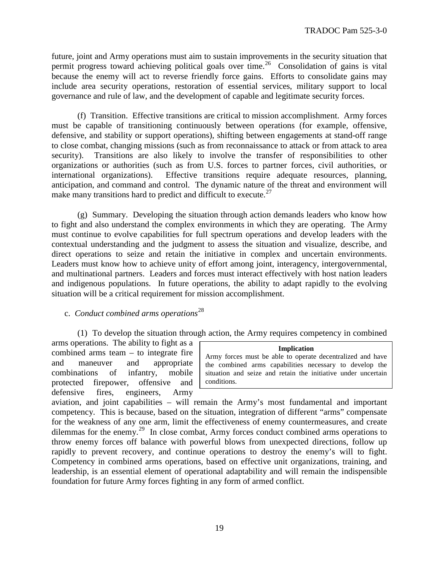future, joint and Army operations must aim to sustain improvements in the security situation that permit progress toward achieving political goals over time.<sup>[26](#page-56-15)</sup> Consolidation of gains is vital because the enemy will act to reverse friendly force gains. Efforts to consolidate gains may include area security operations, restoration of essential services, military support to local governance and rule of law, and the development of capable and legitimate security forces.

 (f) Transition. Effective transitions are critical to mission accomplishment. Army forces must be capable of transitioning continuously between operations (for example, offensive, defensive, and stability or support operations), shifting between engagements at stand-off range to close combat, changing missions (such as from reconnaissance to attack or from attack to area security). Transitions are also likely to involve the transfer of responsibilities to other organizations or authorities (such as from U.S. forces to partner forces, civil authorities, or international organizations). Effective transitions require adequate resources, planning, anticipation, and command and control. The dynamic nature of the threat and environment will make many transitions hard to predict and difficult to execute.<sup>[27](#page-56-16)</sup>

 (g) Summary. Developing the situation through action demands leaders who know how to fight and also understand the complex environments in which they are operating. The Army must continue to evolve capabilities for full spectrum operations and develop leaders with the contextual understanding and the judgment to assess the situation and visualize, describe, and direct operations to seize and retain the initiative in complex and uncertain environments. Leaders must know how to achieve unity of effort among joint, interagency, intergovernmental, and multinational partners. Leaders and forces must interact effectively with host nation leaders and indigenous populations. In future operations, the ability to adapt rapidly to the evolving situation will be a critical requirement for mission accomplishment.

## c. *Conduct combined arms operations*[28](#page-56-17)

(1) To develop the situation through action, the Army requires competency in combined

arms operations. The ability to fight as a combined arms team – to integrate fire and maneuver and appropriate combinations of infantry, mobile protected firepower, offensive and defensive fires, engineers, Army

#### **Implication**

Army forces must be able to operate decentralized and have the combined arms capabilities necessary to develop the situation and seize and retain the initiative under uncertain conditions.

aviation, and joint capabilities – will remain the Army's most fundamental and important competency. This is because, based on the situation, integration of different "arms" compensate for the weakness of any one arm, limit the effectiveness of enemy countermeasures, and create dilemmas for the enemy.<sup>29</sup> In close combat, Army forces conduct combined arms operations to throw enemy forces off balance with powerful blows from unexpected directions, follow up rapidly to prevent recovery, and continue operations to destroy the enemy's will to fight. Competency in combined arms operations, based on effective unit organizations, training, and leadership, is an essential element of operational adaptability and will remain the indispensible foundation for future Army forces fighting in any form of armed conflict.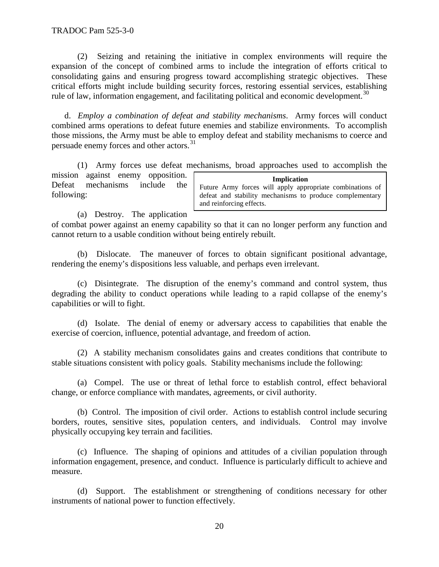(2) Seizing and retaining the initiative in complex environments will require the expansion of the concept of combined arms to include the integration of efforts critical to consolidating gains and ensuring progress toward accomplishing strategic objectives. These critical efforts might include building security forces, restoring essential services, establishing rule of law, information engagement, and facilitating political and economic development.<sup>[30](#page-56-19)</sup>

d. *Employ a combination of defeat and stability mechanisms*. Army forces will conduct combined arms operations to defeat future enemies and stabilize environments. To accomplish those missions, the Army must be able to employ defeat and stability mechanisms to coerce and persuade enemy forces and other actors.<sup>[31](#page-57-0)</sup>

(1) Army forces use defeat mechanisms, broad approaches used to accomplish the

mission against enemy opposition. Defeat mechanisms include the following:

**Implication** Future Army forces will apply appropriate combinations of defeat and stability mechanisms to produce complementary and reinforcing effects.

(a) Destroy.The application

of combat power against an enemy capability so that it can no longer perform any function and cannot return to a usable condition without being entirely rebuilt.

 (b) Dislocate. The maneuver of forces to obtain significant positional advantage, rendering the enemy's dispositions less valuable, and perhaps even irrelevant.

 (c) Disintegrate.The disruption of the enemy's command and control system, thus degrading the ability to conduct operations while leading to a rapid collapse of the enemy's capabilities or will to fight.

 (d) Isolate.The denial of enemy or adversary access to capabilities that enable the exercise of coercion, influence, potential advantage, and freedom of action.

 (2) A stability mechanism consolidates gains and creates conditions that contribute to stable situations consistent with policy goals. Stability mechanisms include the following:

 (a) Compel. The use or threat of lethal force to establish control, effect behavioral change, or enforce compliance with mandates, agreements, or civil authority.

 (b) Control. The imposition of civil order. Actions to establish control include securing borders, routes, sensitive sites, population centers, and individuals. Control may involve physically occupying key terrain and facilities.

 (c) Influence. The shaping of opinions and attitudes of a civilian population through information engagement, presence, and conduct. Influence is particularly difficult to achieve and measure.

 (d) Support. The establishment or strengthening of conditions necessary for other instruments of national power to function effectively.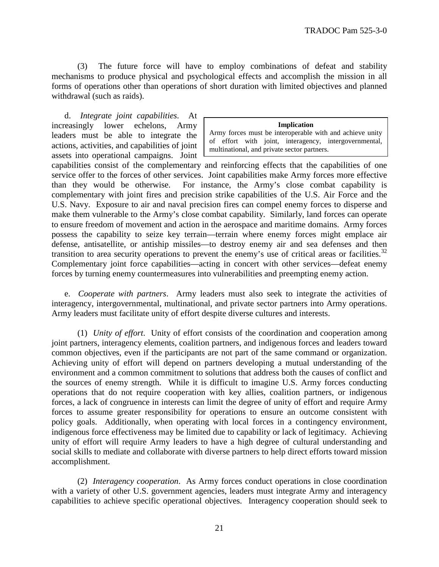(3) The future force will have to employ combinations of defeat and stability mechanisms to produce physical and psychological effects and accomplish the mission in all forms of operations other than operations of short duration with limited objectives and planned withdrawal (such as raids).

d. *Integrate joint capabilities*. At increasingly lower echelons, Army leaders must be able to integrate the actions, activities, and capabilities of joint assets into operational campaigns. Joint

#### **Implication**

Army forces must be interoperable with and achieve unity of effort with joint, interagency, intergovernmental, multinational, and private sector partners.

capabilities consist of the complementary and reinforcing effects that the capabilities of one service offer to the forces of other services. Joint capabilities make Army forces more effective than they would be otherwise. For instance, the Army's close combat capability is complementary with joint fires and precision strike capabilities of the U.S. Air Force and the U.S. Navy. Exposure to air and naval precision fires can compel enemy forces to disperse and make them vulnerable to the Army's close combat capability. Similarly, land forces can operate to ensure freedom of movement and action in the aerospace and maritime domains. Army forces possess the capability to seize key terrain—terrain where enemy forces might emplace air defense, antisatellite, or antiship missiles—to destroy enemy air and sea defenses and then transition to area security operations to prevent the enemy's use of critical areas or facilities.<sup>[32](#page-57-1)</sup> Complementary joint force capabilities—acting in concert with other services—defeat enemy forces by turning enemy countermeasures into vulnerabilities and preempting enemy action.

e. *Cooperate with partners*.Army leaders must also seek to integrate the activities of interagency, intergovernmental, multinational, and private sector partners into Army operations. Army leaders must facilitate unity of effort despite diverse cultures and interests.

 (1) *Unity of effort*.Unity of effort consists of the coordination and cooperation among joint partners, interagency elements, coalition partners, and indigenous forces and leaders toward common objectives, even if the participants are not part of the same command or organization. Achieving unity of effort will depend on partners developing a mutual understanding of the environment and a common commitment to solutions that address both the causes of conflict and the sources of enemy strength. While it is difficult to imagine U.S. Army forces conducting operations that do not require cooperation with key allies, coalition partners, or indigenous forces, a lack of congruence in interests can limit the degree of unity of effort and require Army forces to assume greater responsibility for operations to ensure an outcome consistent with policy goals. Additionally, when operating with local forces in a contingency environment, indigenous force effectiveness may be limited due to capability or lack of legitimacy. Achieving unity of effort will require Army leaders to have a high degree of cultural understanding and social skills to mediate and collaborate with diverse partners to help direct efforts toward mission accomplishment.

 (2) *Interagency cooperation*. As Army forces conduct operations in close coordination with a variety of other U.S. government agencies, leaders must integrate Army and interagency capabilities to achieve specific operational objectives. Interagency cooperation should seek to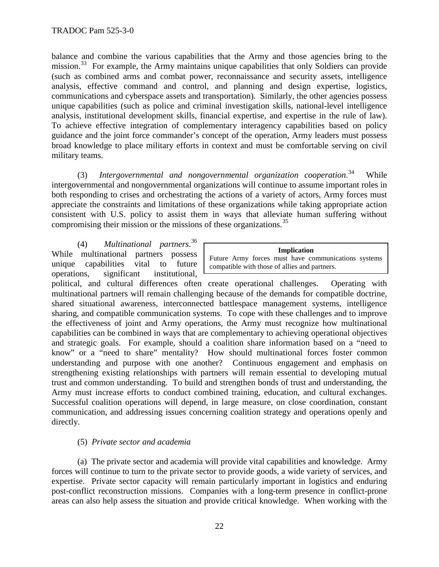balance and combine the various capabilities that the Army and those agencies bring to the mission.<sup>33</sup> For example, the Army maintains unique capabilities that only Soldiers can provide (such as combined arms and combat power, reconnaissance and security assets, intelligence analysis, effective command and control, and planning and design expertise, logistics, communications and cyberspace assets and transportation). Similarly, the other agencies possess unique capabilities (such as police and criminal investigation skills, national-level intelligence analysis, institutional development skills, financial expertise, and expertise in the rule of law). To achieve effective integration of complementary interagency capabilities based on policy guidance and the joint force commander's concept of the operation, Army leaders must possess broad knowledge to place military efforts in context and must be comfortable serving on civil military teams.

 (3) *Intergovernmental and nongovernmental organization cooperation*. While intergovernmental and nongovernmental organizations will continue to assume important roles in both responding to crises and orchestrating the actions of a variety of actors, Army forces must appreciate the constraints and limitations of these organizations while taking appropriate action consistent with U.S. policy to assist them in ways that alleviate human suffering without compromising their mission or the missions of these organizations.<sup>[35](#page-57-4)</sup>

(4) *Multinational partners*. [36](#page-57-5)

While multinational partners possess unique capabilities vital to future operations, significant institutional,

**Implication** Future Army forces must have communications systems compatible with those of allies and partners.

political, and cultural differences often create operational challenges. Operating with multinational partners will remain challenging because of the demands for compatible doctrine, shared situational awareness, interconnected battlespace management systems, intelligence sharing, and compatible communication systems. To cope with these challenges and to improve the effectiveness of joint and Army operations, the Army must recognize how multinational capabilities can be combined in ways that are complementary to achieving operational objectives and strategic goals. For example, should a coalition share information based on a "need to know" or a "need to share" mentality? How should multinational forces foster common understanding and purpose with one another? Continuous engagement and emphasis on strengthening existing relationships with partners will remain essential to developing mutual trust and common understanding. To build and strengthen bonds of trust and understanding, the Army must increase efforts to conduct combined training, education, and cultural exchanges. Successful coalition operations will depend, in large measure, on close coordination, constant communication, and addressing issues concerning coalition strategy and operations openly and directly.

## (5) *Private sector and academia*

 (a) The private sector and academia will provide vital capabilities and knowledge. Army forces will continue to turn to the private sector to provide goods, a wide variety of services, and expertise. Private sector capacity will remain particularly important in logistics and enduring post-conflict reconstruction missions. Companies with a long-term presence in conflict-prone areas can also help assess the situation and provide critical knowledge. When working with the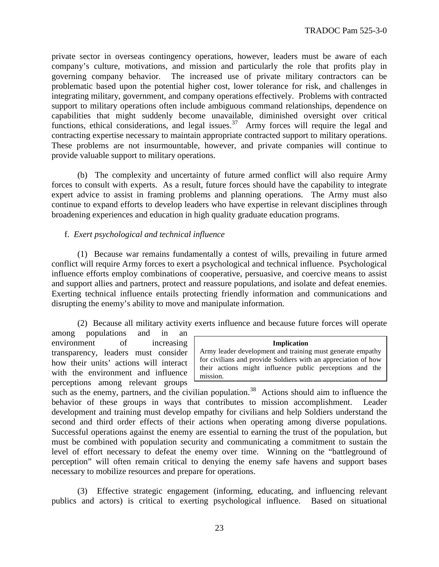private sector in overseas contingency operations, however, leaders must be aware of each company's culture, motivations, and mission and particularly the role that profits play in governing company behavior. The increased use of private military contractors can be problematic based upon the potential higher cost, lower tolerance for risk, and challenges in integrating military, government, and company operations effectively. Problems with contracted support to military operations often include ambiguous command relationships, dependence on capabilities that might suddenly become unavailable, diminished oversight over critical functions, ethical considerations, and legal issues.<sup>37</sup> Army forces will require the legal and contracting expertise necessary to maintain appropriate contracted support to military operations. These problems are not insurmountable, however, and private companies will continue to provide valuable support to military operations.

 (b) The complexity and uncertainty of future armed conflict will also require Army forces to consult with experts. As a result, future forces should have the capability to integrate expert advice to assist in framing problems and planning operations. The Army must also continue to expand efforts to develop leaders who have expertise in relevant disciplines through broadening experiences and education in high quality graduate education programs.

## f. *Exert psychological and technical influence*

 (1) Because war remains fundamentally a contest of wills, prevailing in future armed conflict will require Army forces to exert a psychological and technical influence. Psychological influence efforts employ combinations of cooperative, persuasive, and coercive means to assist and support allies and partners, protect and reassure populations, and isolate and defeat enemies. Exerting technical influence entails protecting friendly information and communications and disrupting the enemy's ability to move and manipulate information.

(2) Because all military activity exerts influence and because future forces will operate

among populations and in an environment of increasing transparency, leaders must consider how their units' actions will interact with the environment and influence perceptions among relevant groups

| <b>Implication</b>                                                                                                                                                                       |  |  |  |  |
|------------------------------------------------------------------------------------------------------------------------------------------------------------------------------------------|--|--|--|--|
| Army leader development and training must generate empathy<br>for civilians and provide Soldiers with an appreciation of how<br>their actions might influence public perceptions and the |  |  |  |  |
| mission.                                                                                                                                                                                 |  |  |  |  |

such as the enemy, partners, and the civilian population.<sup>[38](#page-57-7)</sup> Actions should aim to influence the behavior of these groups in ways that contributes to mission accomplishment. Leader development and training must develop empathy for civilians and help Soldiers understand the second and third order effects of their actions when operating among diverse populations. Successful operations against the enemy are essential to earning the trust of the population, but must be combined with population security and communicating a commitment to sustain the level of effort necessary to defeat the enemy over time. Winning on the "battleground of perception" will often remain critical to denying the enemy safe havens and support bases necessary to mobilize resources and prepare for operations.

 (3) Effective strategic engagement (informing, educating, and influencing relevant publics and actors) is critical to exerting psychological influence. Based on situational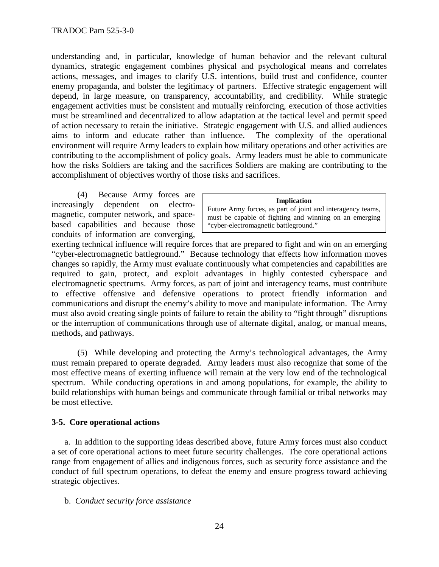understanding and, in particular, knowledge of human behavior and the relevant cultural dynamics, strategic engagement combines physical and psychological means and correlates actions, messages, and images to clarify U.S. intentions, build trust and confidence, counter enemy propaganda, and bolster the legitimacy of partners. Effective strategic engagement will depend, in large measure, on transparency, accountability, and credibility. While strategic engagement activities must be consistent and mutually reinforcing, execution of those activities must be streamlined and decentralized to allow adaptation at the tactical level and permit speed of action necessary to retain the initiative. Strategic engagement with U.S. and allied audiences aims to inform and educate rather than influence. The complexity of the operational environment will require Army leaders to explain how military operations and other activities are contributing to the accomplishment of policy goals. Army leaders must be able to communicate how the risks Soldiers are taking and the sacrifices Soldiers are making are contributing to the accomplishment of objectives worthy of those risks and sacrifices.

 (4) Because Army forces are increasingly dependent on electromagnetic, computer network, and spacebased capabilities and because those conduits of information are converging,

#### **Implication**

Future Army forces, as part of joint and interagency teams, must be capable of fighting and winning on an emerging "cyber-electromagnetic battleground."

exerting technical influence will require forces that are prepared to fight and win on an emerging "cyber-electromagnetic battleground." Because technology that effects how information moves changes so rapidly, the Army must evaluate continuously what competencies and capabilities are required to gain, protect, and exploit advantages in highly contested cyberspace and electromagnetic spectrums. Army forces, as part of joint and interagency teams, must contribute to effective offensive and defensive operations to protect friendly information and communications and disrupt the enemy's ability to move and manipulate information. The Army must also avoid creating single points of failure to retain the ability to "fight through" disruptions or the interruption of communications through use of alternate digital, analog, or manual means, methods, and pathways.

 (5) While developing and protecting the Army's technological advantages, the Army must remain prepared to operate degraded. Army leaders must also recognize that some of the most effective means of exerting influence will remain at the very low end of the technological spectrum. While conducting operations in and among populations, for example, the ability to build relationships with human beings and communicate through familial or tribal networks may be most effective.

## **3-5. Core operational actions**

a. In addition to the supporting ideas described above, future Army forces must also conduct a set of core operational actions to meet future security challenges. The core operational actions range from engagement of allies and indigenous forces, such as security force assistance and the conduct of full spectrum operations, to defeat the enemy and ensure progress toward achieving strategic objectives.

## b. *Conduct security force assistance*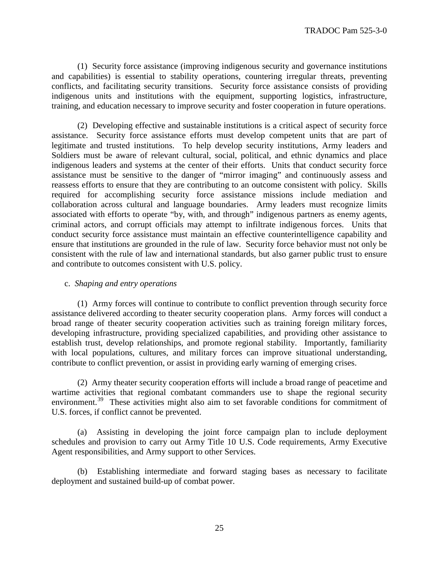(1) Security force assistance (improving indigenous security and governance institutions and capabilities) is essential to stability operations, countering irregular threats, preventing conflicts, and facilitating security transitions. Security force assistance consists of providing indigenous units and institutions with the equipment, supporting logistics, infrastructure, training, and education necessary to improve security and foster cooperation in future operations.

 (2) Developing effective and sustainable institutions is a critical aspect of security force assistance. Security force assistance efforts must develop competent units that are part of legitimate and trusted institutions. To help develop security institutions, Army leaders and Soldiers must be aware of relevant cultural, social, political, and ethnic dynamics and place indigenous leaders and systems at the center of their efforts. Units that conduct security force assistance must be sensitive to the danger of "mirror imaging" and continuously assess and reassess efforts to ensure that they are contributing to an outcome consistent with policy. Skills required for accomplishing security force assistance missions include mediation and collaboration across cultural and language boundaries. Army leaders must recognize limits associated with efforts to operate "by, with, and through" indigenous partners as enemy agents, criminal actors, and corrupt officials may attempt to infiltrate indigenous forces. Units that conduct security force assistance must maintain an effective counterintelligence capability and ensure that institutions are grounded in the rule of law. Security force behavior must not only be consistent with the rule of law and international standards, but also garner public trust to ensure and contribute to outcomes consistent with U.S. policy.

## c. *Shaping and entry operations*

 (1) Army forces will continue to contribute to conflict prevention through security force assistance delivered according to theater security cooperation plans. Army forces will conduct a broad range of theater security cooperation activities such as training foreign military forces, developing infrastructure, providing specialized capabilities, and providing other assistance to establish trust, develop relationships, and promote regional stability. Importantly, familiarity with local populations, cultures, and military forces can improve situational understanding, contribute to conflict prevention, or assist in providing early warning of emerging crises.

 (2) Army theater security cooperation efforts will include a broad range of peacetime and wartime activities that regional combatant commanders use to shape the regional security environment.<sup>[39](#page-57-8)</sup> These activities might also aim to set favorable conditions for commitment of U.S. forces, if conflict cannot be prevented.

 (a) Assisting in developing the joint force campaign plan to include deployment schedules and provision to carry out Army Title 10 U.S. Code requirements, Army Executive Agent responsibilities, and Army support to other Services.

 (b) Establishing intermediate and forward staging bases as necessary to facilitate deployment and sustained build-up of combat power.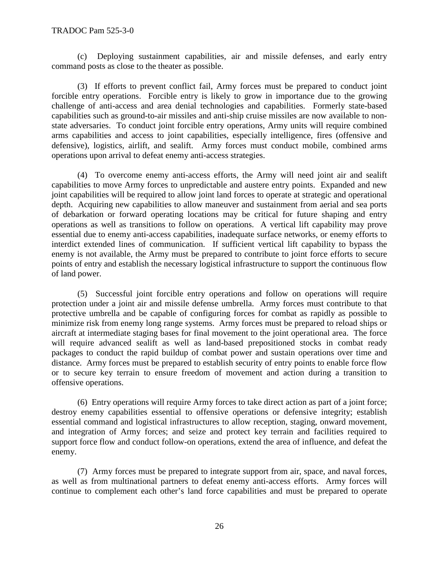#### TRADOC Pam 525-3-0

 (c) Deploying sustainment capabilities, air and missile defenses, and early entry command posts as close to the theater as possible.

 (3) If efforts to prevent conflict fail, Army forces must be prepared to conduct joint forcible entry operations. Forcible entry is likely to grow in importance due to the growing challenge of anti-access and area denial technologies and capabilities. Formerly state-based capabilities such as ground-to-air missiles and anti-ship cruise missiles are now available to nonstate adversaries. To conduct joint forcible entry operations, Army units will require combined arms capabilities and access to joint capabilities, especially intelligence, fires (offensive and defensive), logistics, airlift, and sealift. Army forces must conduct mobile, combined arms operations upon arrival to defeat enemy anti-access strategies.

 (4) To overcome enemy anti-access efforts, the Army will need joint air and sealift capabilities to move Army forces to unpredictable and austere entry points. Expanded and new joint capabilities will be required to allow joint land forces to operate at strategic and operational depth. Acquiring new capabilities to allow maneuver and sustainment from aerial and sea ports of debarkation or forward operating locations may be critical for future shaping and entry operations as well as transitions to follow on operations. A vertical lift capability may prove essential due to enemy anti-access capabilities, inadequate surface networks, or enemy efforts to interdict extended lines of communication. If sufficient vertical lift capability to bypass the enemy is not available, the Army must be prepared to contribute to joint force efforts to secure points of entry and establish the necessary logistical infrastructure to support the continuous flow of land power.

 (5) Successful joint forcible entry operations and follow on operations will require protection under a joint air and missile defense umbrella. Army forces must contribute to that protective umbrella and be capable of configuring forces for combat as rapidly as possible to minimize risk from enemy long range systems. Army forces must be prepared to reload ships or aircraft at intermediate staging bases for final movement to the joint operational area. The force will require advanced sealift as well as land-based prepositioned stocks in combat ready packages to conduct the rapid buildup of combat power and sustain operations over time and distance. Army forces must be prepared to establish security of entry points to enable force flow or to secure key terrain to ensure freedom of movement and action during a transition to offensive operations.

 (6) Entry operations will require Army forces to take direct action as part of a joint force; destroy enemy capabilities essential to offensive operations or defensive integrity; establish essential command and logistical infrastructures to allow reception, staging, onward movement, and integration of Army forces; and seize and protect key terrain and facilities required to support force flow and conduct follow-on operations, extend the area of influence, and defeat the enemy.

 (7) Army forces must be prepared to integrate support from air, space, and naval forces, as well as from multinational partners to defeat enemy anti-access efforts. Army forces will continue to complement each other's land force capabilities and must be prepared to operate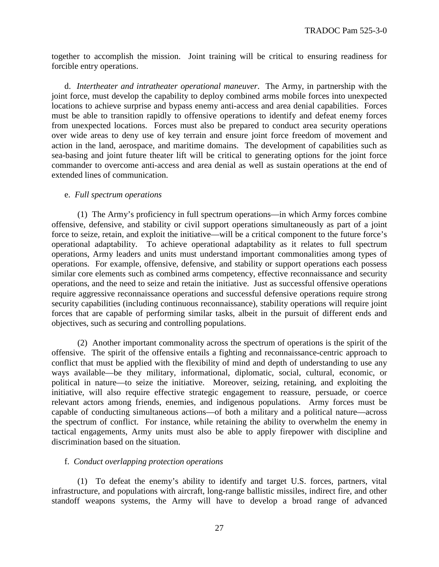together to accomplish the mission. Joint training will be critical to ensuring readiness for forcible entry operations.

 d. *Intertheater and intratheater operational maneuver*. The Army, in partnership with the joint force, must develop the capability to deploy combined arms mobile forces into unexpected locations to achieve surprise and bypass enemy anti-access and area denial capabilities. Forces must be able to transition rapidly to offensive operations to identify and defeat enemy forces from unexpected locations. Forces must also be prepared to conduct area security operations over wide areas to deny use of key terrain and ensure joint force freedom of movement and action in the land, aerospace, and maritime domains. The development of capabilities such as sea-basing and joint future theater lift will be critical to generating options for the joint force commander to overcome anti-access and area denial as well as sustain operations at the end of extended lines of communication.

#### e. *Full spectrum operations*

(1) The Army's proficiency in full spectrum operations—in which Army forces combine offensive, defensive, and stability or civil support operations simultaneously as part of a joint force to seize, retain, and exploit the initiative—will be a critical component to the future force's operational adaptability. To achieve operational adaptability as it relates to full spectrum operations, Army leaders and units must understand important commonalities among types of operations. For example, offensive, defensive, and stability or support operations each possess similar core elements such as combined arms competency, effective reconnaissance and security operations, and the need to seize and retain the initiative. Just as successful offensive operations require aggressive reconnaissance operations and successful defensive operations require strong security capabilities (including continuous reconnaissance), stability operations will require joint forces that are capable of performing similar tasks, albeit in the pursuit of different ends and objectives, such as securing and controlling populations.

(2) Another important commonality across the spectrum of operations is the spirit of the offensive. The spirit of the offensive entails a fighting and reconnaissance-centric approach to conflict that must be applied with the flexibility of mind and depth of understanding to use any ways available—be they military, informational, diplomatic, social, cultural, economic, or political in nature—to seize the initiative. Moreover, seizing, retaining, and exploiting the initiative, will also require effective strategic engagement to reassure, persuade, or coerce relevant actors among friends, enemies, and indigenous populations. Army forces must be capable of conducting simultaneous actions—of both a military and a political nature—across the spectrum of conflict. For instance, while retaining the ability to overwhelm the enemy in tactical engagements, Army units must also be able to apply firepower with discipline and discrimination based on the situation.

## f. *Conduct overlapping protection operations*

 (1) To defeat the enemy's ability to identify and target U.S. forces, partners, vital infrastructure, and populations with aircraft, long-range ballistic missiles, indirect fire, and other standoff weapons systems, the Army will have to develop a broad range of advanced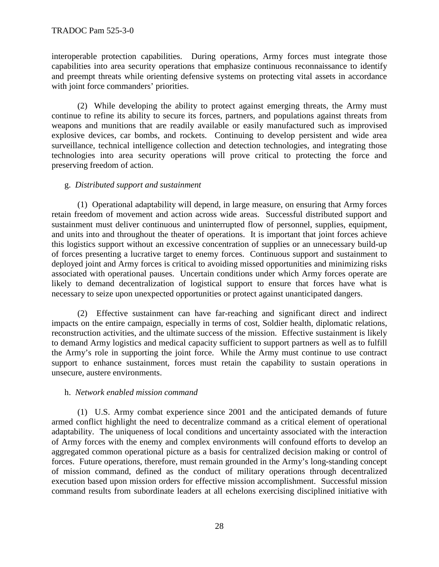interoperable protection capabilities. During operations, Army forces must integrate those capabilities into area security operations that emphasize continuous reconnaissance to identify and preempt threats while orienting defensive systems on protecting vital assets in accordance with joint force commanders' priorities.

 (2) While developing the ability to protect against emerging threats, the Army must continue to refine its ability to secure its forces, partners, and populations against threats from weapons and munitions that are readily available or easily manufactured such as improvised explosive devices, car bombs, and rockets. Continuing to develop persistent and wide area surveillance, technical intelligence collection and detection technologies, and integrating those technologies into area security operations will prove critical to protecting the force and preserving freedom of action.

## g. *Distributed support and sustainment*

 (1) Operational adaptability will depend, in large measure, on ensuring that Army forces retain freedom of movement and action across wide areas. Successful distributed support and sustainment must deliver continuous and uninterrupted flow of personnel, supplies, equipment, and units into and throughout the theater of operations. It is important that joint forces achieve this logistics support without an excessive concentration of supplies or an unnecessary build-up of forces presenting a lucrative target to enemy forces. Continuous support and sustainment to deployed joint and Army forces is critical to avoiding missed opportunities and minimizing risks associated with operational pauses. Uncertain conditions under which Army forces operate are likely to demand decentralization of logistical support to ensure that forces have what is necessary to seize upon unexpected opportunities or protect against unanticipated dangers.

 (2) Effective sustainment can have far-reaching and significant direct and indirect impacts on the entire campaign, especially in terms of cost, Soldier health, diplomatic relations, reconstruction activities, and the ultimate success of the mission. Effective sustainment is likely to demand Army logistics and medical capacity sufficient to support partners as well as to fulfill the Army's role in supporting the joint force. While the Army must continue to use contract support to enhance sustainment, forces must retain the capability to sustain operations in unsecure, austere environments.

## h. *Network enabled mission command*

 (1) U.S. Army combat experience since 2001 and the anticipated demands of future armed conflict highlight the need to decentralize command as a critical element of operational adaptability. The uniqueness of local conditions and uncertainty associated with the interaction of Army forces with the enemy and complex environments will confound efforts to develop an aggregated common operational picture as a basis for centralized decision making or control of forces. Future operations, therefore, must remain grounded in the Army's long-standing concept of mission command, defined as the conduct of military operations through decentralized execution based upon mission orders for effective mission accomplishment. Successful mission command results from subordinate leaders at all echelons exercising disciplined initiative with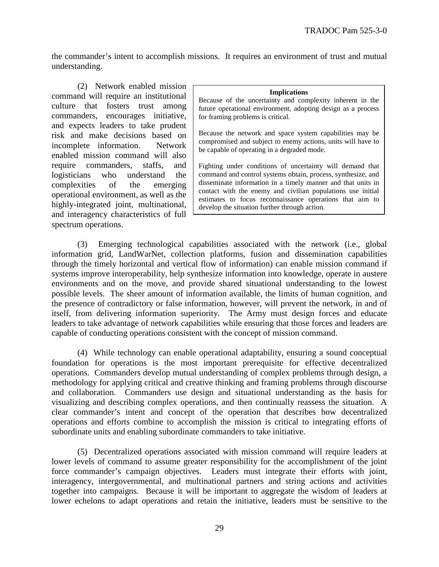the commander's intent to accomplish missions. It requires an environment of trust and mutual understanding.

 (2) Network enabled mission command will require an institutional culture that fosters trust among commanders, encourages initiative, and expects leaders to take prudent risk and make decisions based on incomplete information. Network enabled mission command will also require commanders, staffs, and logisticians who understand the complexities of the emerging operational environment, as well as the highly-integrated joint, multinational, and interagency characteristics of full spectrum operations.

#### **Implications**

Because of the uncertainty and complexity inherent in the future operational environment, adopting design as a process for framing problems is critical.

Because the network and space system capabilities may be compromised and subject to enemy actions, units will have to be capable of operating in a degraded mode.

Fighting under conditions of uncertainty will demand that command and control systems obtain, process, synthesize, and disseminate information in a timely manner and that units in contact with the enemy and civilian populations use initial estimates to focus reconnaissance operations that aim to develop the situation further through action.

 (3) Emerging technological capabilities associated with the network (i.e., global information grid, LandWarNet, collection platforms, fusion and dissemination capabilities through the timely horizontal and vertical flow of information) can enable mission command if systems improve interoperability, help synthesize information into knowledge, operate in austere environments and on the move, and provide shared situational understanding to the lowest possible levels. The sheer amount of information available, the limits of human cognition, and the presence of contradictory or false information, however, will prevent the network, in and of itself, from delivering information superiority. The Army must design forces and educate leaders to take advantage of network capabilities while ensuring that those forces and leaders are capable of conducting operations consistent with the concept of mission command.

 (4) While technology can enable operational adaptability, ensuring a sound conceptual foundation for operations is the most important prerequisite for effective decentralized operations. Commanders develop mutual understanding of complex problems through design, a methodology for applying critical and creative thinking and framing problems through discourse and collaboration. Commanders use design and situational understanding as the basis for visualizing and describing complex operations, and then continually reassess the situation. A clear commander's intent and concept of the operation that describes how decentralized operations and efforts combine to accomplish the mission is critical to integrating efforts of subordinate units and enabling subordinate commanders to take initiative.

 (5) Decentralized operations associated with mission command will require leaders at lower levels of command to assume greater responsibility for the accomplishment of the joint force commander's campaign objectives. Leaders must integrate their efforts with joint, interagency, intergovernmental, and multinational partners and string actions and activities together into campaigns. Because it will be important to aggregate the wisdom of leaders at lower echelons to adapt operations and retain the initiative, leaders must be sensitive to the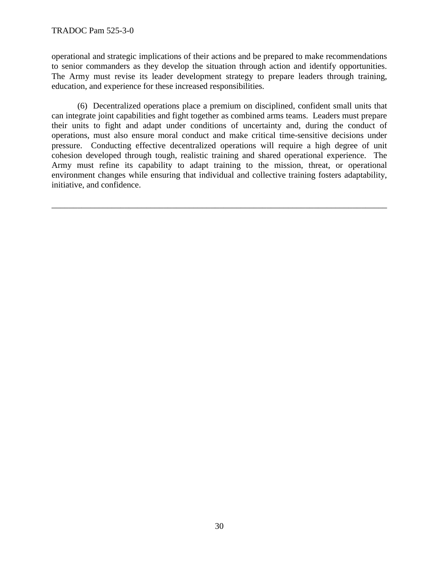operational and strategic implications of their actions and be prepared to make recommendations to senior commanders as they develop the situation through action and identify opportunities. The Army must revise its leader development strategy to prepare leaders through training, education, and experience for these increased responsibilities.

 (6) Decentralized operations place a premium on disciplined, confident small units that can integrate joint capabilities and fight together as combined arms teams. Leaders must prepare their units to fight and adapt under conditions of uncertainty and, during the conduct of operations, must also ensure moral conduct and make critical time-sensitive decisions under pressure. Conducting effective decentralized operations will require a high degree of unit cohesion developed through tough, realistic training and shared operational experience. The Army must refine its capability to adapt training to the mission, threat, or operational environment changes while ensuring that individual and collective training fosters adaptability, initiative, and confidence.

\_\_\_\_\_\_\_\_\_\_\_\_\_\_\_\_\_\_\_\_\_\_\_\_\_\_\_\_\_\_\_\_\_\_\_\_\_\_\_\_\_\_\_\_\_\_\_\_\_\_\_\_\_\_\_\_\_\_\_\_\_\_\_\_\_\_\_\_\_\_\_\_\_\_\_\_\_\_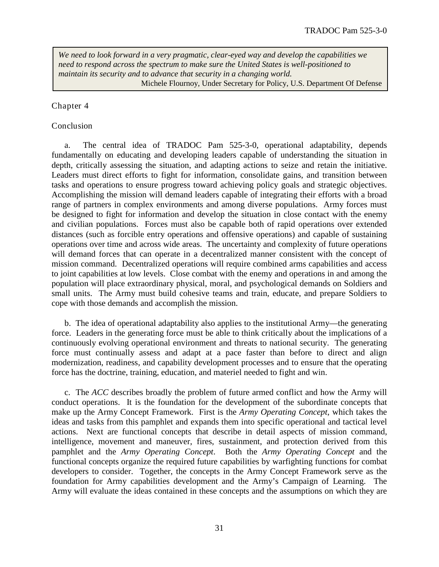*We need to look forward in a very pragmatic, clear-eyed way and develop the capabilities we need to respond across the spectrum to make sure the United States is well-positioned to maintain its security and to advance that security in a changing world.*  Michele Flournoy, Under Secretary for Policy, U.S. Department Of Defense

## Chapter 4

## Conclusion

a. The central idea of TRADOC Pam 525-3-0, operational adaptability, depends fundamentally on educating and developing leaders capable of understanding the situation in depth, critically assessing the situation, and adapting actions to seize and retain the initiative. Leaders must direct efforts to fight for information, consolidate gains, and transition between tasks and operations to ensure progress toward achieving policy goals and strategic objectives. Accomplishing the mission will demand leaders capable of integrating their efforts with a broad range of partners in complex environments and among diverse populations. Army forces must be designed to fight for information and develop the situation in close contact with the enemy and civilian populations. Forces must also be capable both of rapid operations over extended distances (such as forcible entry operations and offensive operations) and capable of sustaining operations over time and across wide areas. The uncertainty and complexity of future operations will demand forces that can operate in a decentralized manner consistent with the concept of mission command. Decentralized operations will require combined arms capabilities and access to joint capabilities at low levels. Close combat with the enemy and operations in and among the population will place extraordinary physical, moral, and psychological demands on Soldiers and small units. The Army must build cohesive teams and train, educate, and prepare Soldiers to cope with those demands and accomplish the mission.

b. The idea of operational adaptability also applies to the institutional Army—the generating force. Leaders in the generating force must be able to think critically about the implications of a continuously evolving operational environment and threats to national security. The generating force must continually assess and adapt at a pace faster than before to direct and align modernization, readiness, and capability development processes and to ensure that the operating force has the doctrine, training, education, and materiel needed to fight and win.

c. The *ACC* describes broadly the problem of future armed conflict and how the Army will conduct operations. It is the foundation for the development of the subordinate concepts that make up the Army Concept Framework. First is the *Army Operating Concept*, which takes the ideas and tasks from this pamphlet and expands them into specific operational and tactical level actions. Next are functional concepts that describe in detail aspects of mission command, intelligence, movement and maneuver, fires, sustainment, and protection derived from this pamphlet and the *Army Operating Concept*. Both the *Army Operating Concept* and the functional concepts organize the required future capabilities by warfighting functions for combat developers to consider. Together, the concepts in the Army Concept Framework serve as the foundation for Army capabilities development and the Army's Campaign of Learning. The Army will evaluate the ideas contained in these concepts and the assumptions on which they are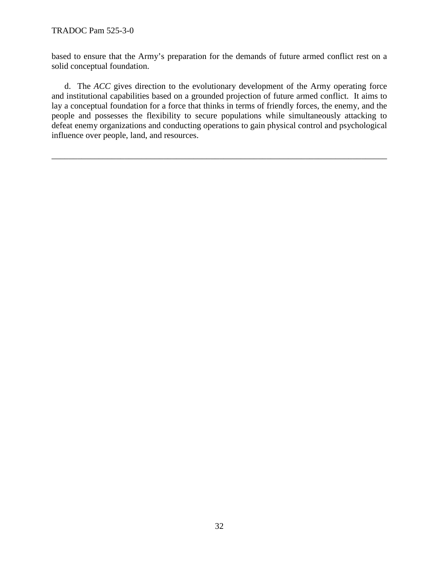based to ensure that the Army's preparation for the demands of future armed conflict rest on a solid conceptual foundation.

d. The *ACC* gives direction to the evolutionary development of the Army operating force and institutional capabilities based on a grounded projection of future armed conflict. It aims to lay a conceptual foundation for a force that thinks in terms of friendly forces, the enemy, and the people and possesses the flexibility to secure populations while simultaneously attacking to defeat enemy organizations and conducting operations to gain physical control and psychological influence over people, land, and resources.

\_\_\_\_\_\_\_\_\_\_\_\_\_\_\_\_\_\_\_\_\_\_\_\_\_\_\_\_\_\_\_\_\_\_\_\_\_\_\_\_\_\_\_\_\_\_\_\_\_\_\_\_\_\_\_\_\_\_\_\_\_\_\_\_\_\_\_\_\_\_\_\_\_\_\_\_\_\_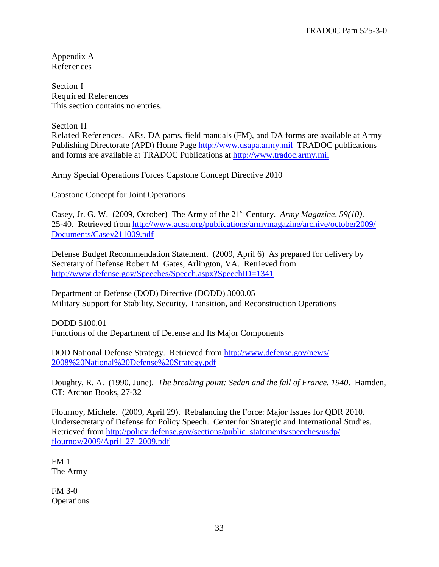<span id="page-36-0"></span>Appendix A References

Section I Required References This section contains no entries.

Section II

Related References. ARs, DA pams, field manuals (FM), and DA forms are available at Army Publishing Directorate (APD) Home Page [http://www.usapa.army.mil](http://www.usapa.army.mil/) TRADOC publications and forms are available at TRADOC Publications at [http://www.tradoc.army.mil](http://www.tradoc.army.mil/)

Army Special Operations Forces Capstone Concept Directive 2010

Capstone Concept for Joint Operations

Casey, Jr. G. W. (2009, October) The Army of the 21<sup>st</sup> Century. *Army Magazine*, 59(10). 25-40. Retrieved from [http://www.ausa.org/publications/armymagazine/archive/october2009/](http://www.ausa.org/publications/armymagazine/archive/october2009/Documents/Casey211009.pdf) [Documents/Casey211009.pdf](http://www.ausa.org/publications/armymagazine/archive/october2009/Documents/Casey211009.pdf)

Defense Budget Recommendation Statement. (2009, April 6) As prepared for delivery by Secretary of Defense Robert M. Gates, Arlington, VA. Retrieved from <http://www.defense.gov/Speeches/Speech.aspx?SpeechID=1341>

Department of Defense (DOD) Directive (DODD) 3000.05 Military Support for Stability, Security, Transition, and Reconstruction Operations

DODD 5100.01 Functions of the Department of Defense and Its Major Components

DOD National Defense Strategy. Retrieved from [http://www.defense.gov/news/](http://www.defense.gov/news/2008%20National%20Defense%20Strategy.pdf) [2008%20National%20Defense%20Strategy.pdf](http://www.defense.gov/news/2008%20National%20Defense%20Strategy.pdf)

Doughty, R. A. (1990, June). *The breaking point: Sedan and the fall of France, 1940*. Hamden, CT: Archon Books, 27-32

Flournoy, Michele. (2009, April 29). Rebalancing the Force: Major Issues for QDR 2010. Undersecretary of Defense for Policy Speech. Center for Strategic and International Studies. Retrieved from [http://policy.defense.gov/sections/public\\_statements/speeches/usdp/](http://policy.defense.gov/sections/public_statements/speeches/usdp/flournoy/2009/April_27_2009.pdf) [flournoy/2009/April\\_27\\_2009.pdf](http://policy.defense.gov/sections/public_statements/speeches/usdp/flournoy/2009/April_27_2009.pdf)

FM 1 The Army

FM 3-0 **Operations**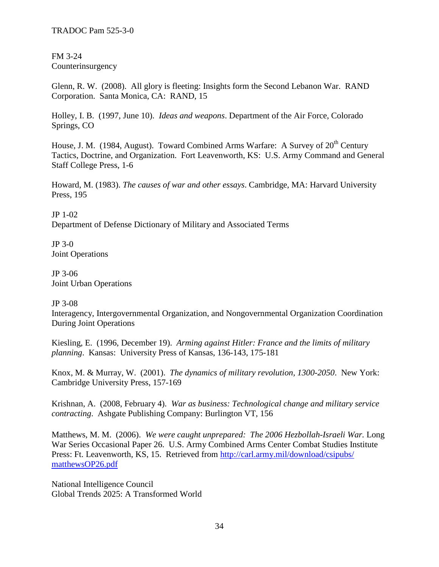FM 3-24 Counterinsurgency

Glenn, R. W. (2008). All glory is fleeting: Insights form the Second Lebanon War. RAND Corporation. Santa Monica, CA: RAND, 15

Holley, I. B. (1997, June 10). *Ideas and weapons*. Department of the Air Force, Colorado Springs, CO

House, J. M. (1984, August). Toward Combined Arms Warfare: A Survey of  $20<sup>th</sup>$  Century Tactics, Doctrine, and Organization. Fort Leavenworth, KS: U.S. Army Command and General Staff College Press, 1-6

Howard, M. (1983). *The causes of war and other essays*. Cambridge, MA: Harvard University Press, 195

JP 1-02 Department of Defense Dictionary of Military and Associated Terms

JP 3-0 Joint Operations

JP 3-06 Joint Urban Operations

JP 3-08

Interagency, Intergovernmental Organization, and Nongovernmental Organization Coordination During Joint Operations

Kiesling, E. (1996, December 19). *Arming against Hitler: France and the limits of military planning*. Kansas: University Press of Kansas, 136-143, 175-181

Knox, M. & Murray, W. (2001). *The dynamics of military revolution, 1300-2050*. New York: Cambridge University Press, 157-169

Krishnan, A. (2008, February 4). *War as business: Technological change and military service contracting*. Ashgate Publishing Company: Burlington VT, 156

Matthews, M. M. (2006). *We were caught unprepared: The 2006 Hezbollah-Israeli War.* Long War Series Occasional Paper 26. U.S. Army Combined Arms Center Combat Studies Institute Press: Ft. Leavenworth, KS, 15. Retrieved from [http://carl.army.mil/download/csipubs/](http://carl.army.mil/download/csipubs/matthewsOP26.pdf) [matthewsOP26.pdf](http://carl.army.mil/download/csipubs/matthewsOP26.pdf)

National Intelligence Council Global Trends 2025: A Transformed World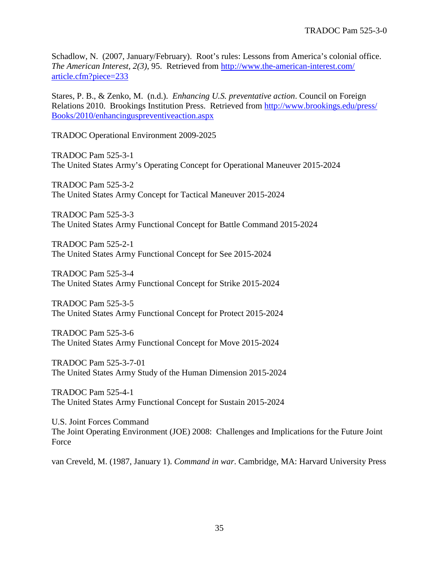Schadlow, N. (2007, January/February). Root's rules: Lessons from America's colonial office. *The American Interest, 2(3)*, 95. Retrieved from [http://www.the-american-interest.com/](http://www.the-american-interest.com/article.cfm?piece=233) [article.cfm?piece=233](http://www.the-american-interest.com/article.cfm?piece=233)

Stares, P. B., & Zenko, M. (n.d.). *Enhancing U.S. preventative action*. Council on Foreign Relations 2010. Brookings Institution Press. Retrieved from [http://www.brookings.edu/press/](http://www.brookings.edu/press/Books/2010/enhancinguspreventiveaction.aspx) [Books/2010/enhancinguspreventiveaction.aspx](http://www.brookings.edu/press/Books/2010/enhancinguspreventiveaction.aspx)

TRADOC Operational Environment 2009-2025

TRADOC Pam 525-3-1 The United States Army's Operating Concept for Operational Maneuver 2015-2024

TRADOC Pam 525-3-2 The United States Army Concept for Tactical Maneuver 2015-2024

TRADOC Pam 525-3-3 The United States Army Functional Concept for Battle Command 2015-2024

TRADOC Pam 525-2-1 The United States Army Functional Concept for See 2015-2024

TRADOC Pam 525-3-4 The United States Army Functional Concept for Strike 2015-2024

TRADOC Pam 525-3-5 The United States Army Functional Concept for Protect 2015-2024

TRADOC Pam 525-3-6 The United States Army Functional Concept for Move 2015-2024

TRADOC Pam 525-3-7-01 The United States Army Study of the Human Dimension 2015-2024

TRADOC Pam 525-4-1 The United States Army Functional Concept for Sustain 2015-2024

U.S. Joint Forces Command The Joint Operating Environment (JOE) 2008: Challenges and Implications for the Future Joint Force

van Creveld, M. (1987, January 1). *Command in war*. Cambridge, MA: Harvard University Press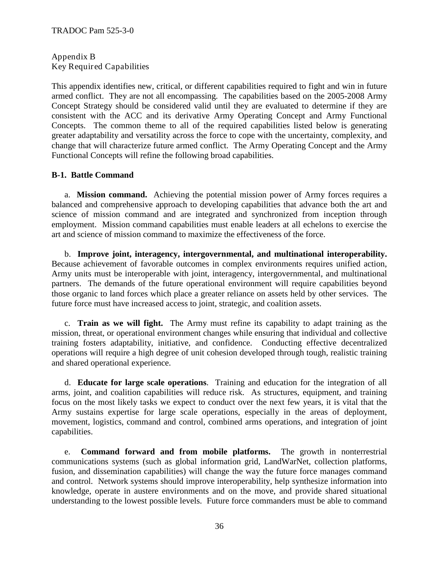<span id="page-39-1"></span><span id="page-39-0"></span>Appendix B Key Required Capabilities

This appendix identifies new, critical, or different capabilities required to fight and win in future armed conflict. They are not all encompassing. The capabilities based on the 2005-2008 Army Concept Strategy should be considered valid until they are evaluated to determine if they are consistent with the ACC and its derivative Army Operating Concept and Army Functional Concepts. The common theme to all of the required capabilities listed below is generating greater adaptability and versatility across the force to cope with the uncertainty, complexity, and change that will characterize future armed conflict. The Army Operating Concept and the Army Functional Concepts will refine the following broad capabilities.

## **B-1. Battle Command**

a. **Mission command.** Achieving the potential mission power of Army forces requires a balanced and comprehensive approach to developing capabilities that advance both the art and science of mission command and are integrated and synchronized from inception through employment. Mission command capabilities must enable leaders at all echelons to exercise the art and science of mission command to maximize the effectiveness of the force.

b. **Improve joint, interagency, intergovernmental, and multinational interoperability.** Because achievement of favorable outcomes in complex environments requires unified action, Army units must be interoperable with joint, interagency, intergovernmental, and multinational partners. The demands of the future operational environment will require capabilities beyond those organic to land forces which place a greater reliance on assets held by other services. The future force must have increased access to joint, strategic, and coalition assets.

c. **Train as we will fight.** The Army must refine its capability to adapt training as the mission, threat, or operational environment changes while ensuring that individual and collective training fosters adaptability, initiative, and confidence. Conducting effective decentralized operations will require a high degree of unit cohesion developed through tough, realistic training and shared operational experience.

d. **Educate for large scale operations**. Training and education for the integration of all arms, joint, and coalition capabilities will reduce risk. As structures, equipment, and training focus on the most likely tasks we expect to conduct over the next few years, it is vital that the Army sustains expertise for large scale operations, especially in the areas of deployment, movement, logistics, command and control, combined arms operations, and integration of joint capabilities.

e. **Command forward and from mobile platforms.** The growth in nonterrestrial communications systems (such as global information grid, LandWarNet, collection platforms, fusion, and dissemination capabilities) will change the way the future force manages command and control. Network systems should improve interoperability, help synthesize information into knowledge, operate in austere environments and on the move, and provide shared situational understanding to the lowest possible levels. Future force commanders must be able to command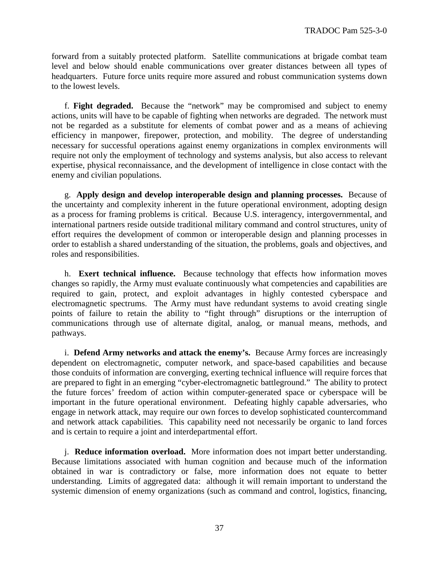forward from a suitably protected platform. Satellite communications at brigade combat team level and below should enable communications over greater distances between all types of headquarters. Future force units require more assured and robust communication systems down to the lowest levels.

f. **Fight degraded.** Because the "network" may be compromised and subject to enemy actions, units will have to be capable of fighting when networks are degraded. The network must not be regarded as a substitute for elements of combat power and as a means of achieving efficiency in manpower, firepower, protection, and mobility. The degree of understanding necessary for successful operations against enemy organizations in complex environments will require not only the employment of technology and systems analysis, but also access to relevant expertise, physical reconnaissance, and the development of intelligence in close contact with the enemy and civilian populations.

g. **Apply design and develop interoperable design and planning processes.** Because of the uncertainty and complexity inherent in the future operational environment, adopting design as a process for framing problems is critical. Because U.S. interagency, intergovernmental, and international partners reside outside traditional military command and control structures, unity of effort requires the development of common or interoperable design and planning processes in order to establish a shared understanding of the situation, the problems, goals and objectives, and roles and responsibilities.

 h. **Exert technical influence.** Because technology that effects how information moves changes so rapidly, the Army must evaluate continuously what competencies and capabilities are required to gain, protect, and exploit advantages in highly contested cyberspace and electromagnetic spectrums. The Army must have redundant systems to avoid creating single points of failure to retain the ability to "fight through" disruptions or the interruption of communications through use of alternate digital, analog, or manual means, methods, and pathways.

i. **Defend Army networks and attack the enemy's.** Because Army forces are increasingly dependent on electromagnetic, computer network, and space-based capabilities and because those conduits of information are converging, exerting technical influence will require forces that are prepared to fight in an emerging "cyber-electromagnetic battleground." The ability to protect the future forces' freedom of action within computer-generated space or cyberspace will be important in the future operational environment. Defeating highly capable adversaries, who engage in network attack, may require our own forces to develop sophisticated countercommand and network attack capabilities. This capability need not necessarily be organic to land forces and is certain to require a joint and interdepartmental effort.

j. **Reduce information overload.** More information does not impart better understanding. Because limitations associated with human cognition and because much of the information obtained in war is contradictory or false, more information does not equate to better understanding. Limits of aggregated data: although it will remain important to understand the systemic dimension of enemy organizations (such as command and control, logistics, financing,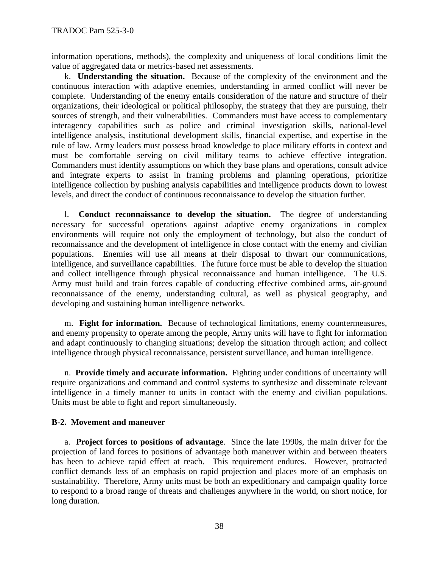information operations, methods), the complexity and uniqueness of local conditions limit the value of aggregated data or metrics-based net assessments.

k. **Understanding the situation.** Because of the complexity of the environment and the continuous interaction with adaptive enemies, understanding in armed conflict will never be complete. Understanding of the enemy entails consideration of the nature and structure of their organizations, their ideological or political philosophy, the strategy that they are pursuing, their sources of strength, and their vulnerabilities. Commanders must have access to complementary interagency capabilities such as police and criminal investigation skills, national-level intelligence analysis, institutional development skills, financial expertise, and expertise in the rule of law. Army leaders must possess broad knowledge to place military efforts in context and must be comfortable serving on civil military teams to achieve effective integration. Commanders must identify assumptions on which they base plans and operations, consult advice and integrate experts to assist in framing problems and planning operations, prioritize intelligence collection by pushing analysis capabilities and intelligence products down to lowest levels, and direct the conduct of continuous reconnaissance to develop the situation further.

l. **Conduct reconnaissance to develop the situation.** The degree of understanding necessary for successful operations against adaptive enemy organizations in complex environments will require not only the employment of technology, but also the conduct of reconnaissance and the development of intelligence in close contact with the enemy and civilian populations. Enemies will use all means at their disposal to thwart our communications, intelligence, and surveillance capabilities. The future force must be able to develop the situation and collect intelligence through physical reconnaissance and human intelligence. The U.S. Army must build and train forces capable of conducting effective combined arms, air-ground reconnaissance of the enemy, understanding cultural, as well as physical geography, and developing and sustaining human intelligence networks.

m. **Fight for information.** Because of technological limitations, enemy countermeasures, and enemy propensity to operate among the people, Army units will have to fight for information and adapt continuously to changing situations; develop the situation through action; and collect intelligence through physical reconnaissance, persistent surveillance, and human intelligence.

n. **Provide timely and accurate information.** Fighting under conditions of uncertainty will require organizations and command and control systems to synthesize and disseminate relevant intelligence in a timely manner to units in contact with the enemy and civilian populations. Units must be able to fight and report simultaneously.

## **B-2. Movement and maneuver**

a. **Project forces to positions of advantage**. Since the late 1990s, the main driver for the projection of land forces to positions of advantage both maneuver within and between theaters has been to achieve rapid effect at reach. This requirement endures. However, protracted conflict demands less of an emphasis on rapid projection and places more of an emphasis on sustainability. Therefore, Army units must be both an expeditionary and campaign quality force to respond to a broad range of threats and challenges anywhere in the world, on short notice, for long duration.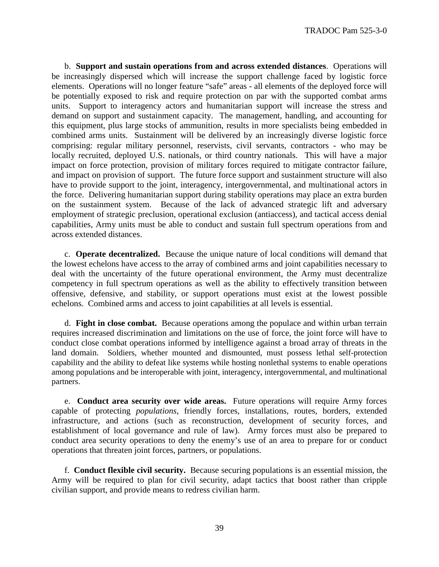b. **Support and sustain operations from and across extended distances**. Operations will be increasingly dispersed which will increase the support challenge faced by logistic force elements. Operations will no longer feature "safe" areas - all elements of the deployed force will be potentially exposed to risk and require protection on par with the supported combat arms units. Support to interagency actors and humanitarian support will increase the stress and demand on support and sustainment capacity. The management, handling, and accounting for this equipment, plus large stocks of ammunition, results in more specialists being embedded in combined arms units. Sustainment will be delivered by an increasingly diverse logistic force comprising: regular military personnel, reservists, civil servants, contractors - who may be locally recruited, deployed U.S. nationals, or third country nationals. This will have a major impact on force protection, provision of military forces required to mitigate contractor failure, and impact on provision of support. The future force support and sustainment structure will also have to provide support to the joint, interagency, intergovernmental, and multinational actors in the force. Delivering humanitarian support during stability operations may place an extra burden on the sustainment system. Because of the lack of advanced strategic lift and adversary employment of strategic preclusion, operational exclusion (antiaccess), and tactical access denial capabilities, Army units must be able to conduct and sustain full spectrum operations from and across extended distances.

c. **Operate decentralized.** Because the unique nature of local conditions will demand that the lowest echelons have access to the array of combined arms and joint capabilities necessary to deal with the uncertainty of the future operational environment, the Army must decentralize competency in full spectrum operations as well as the ability to effectively transition between offensive, defensive, and stability, or support operations must exist at the lowest possible echelons. Combined arms and access to joint capabilities at all levels is essential.

d. **Fight in close combat.** Because operations among the populace and within urban terrain requires increased discrimination and limitations on the use of force, the joint force will have to conduct close combat operations informed by intelligence against a broad array of threats in the land domain. Soldiers, whether mounted and dismounted, must possess lethal self-protection capability and the ability to defeat like systems while hosting nonlethal systems to enable operations among populations and be interoperable with joint, interagency, intergovernmental, and multinational partners.

e. **Conduct area security over wide areas.** Future operations will require Army forces capable of protecting *populations*, friendly forces, installations, routes, borders, extended infrastructure, and actions (such as reconstruction, development of security forces, and establishment of local governance and rule of law). Army forces must also be prepared to conduct area security operations to deny the enemy's use of an area to prepare for or conduct operations that threaten joint forces, partners, or populations.

f. **Conduct flexible civil security.** Because securing populations is an essential mission, the Army will be required to plan for civil security, adapt tactics that boost rather than cripple civilian support, and provide means to redress civilian harm.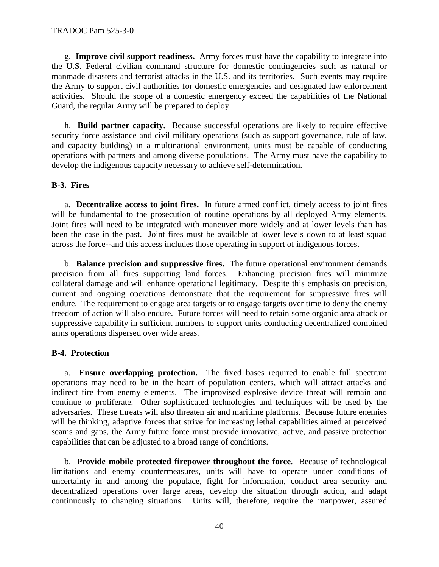g. **Improve civil support readiness.** Army forces must have the capability to integrate into the U.S. Federal civilian command structure for domestic contingencies such as natural or manmade disasters and terrorist attacks in the U.S. and its territories. Such events may require the Army to support civil authorities for domestic emergencies and designated law enforcement activities. Should the scope of a domestic emergency exceed the capabilities of the National Guard, the regular Army will be prepared to deploy.

 h. **Build partner capacity.** Because successful operations are likely to require effective security force assistance and civil military operations (such as support governance, rule of law, and capacity building) in a multinational environment, units must be capable of conducting operations with partners and among diverse populations. The Army must have the capability to develop the indigenous capacity necessary to achieve self-determination.

## **B-3. Fires**

a. **Decentralize access to joint fires.** In future armed conflict, timely access to joint fires will be fundamental to the prosecution of routine operations by all deployed Army elements. Joint fires will need to be integrated with maneuver more widely and at lower levels than has been the case in the past. Joint fires must be available at lower levels down to at least squad across the force--and this access includes those operating in support of indigenous forces.

b. **Balance precision and suppressive fires.** The future operational environment demands precision from all fires supporting land forces. Enhancing precision fires will minimize collateral damage and will enhance operational legitimacy. Despite this emphasis on precision, current and ongoing operations demonstrate that the requirement for suppressive fires will endure. The requirement to engage area targets or to engage targets over time to deny the enemy freedom of action will also endure. Future forces will need to retain some organic area attack or suppressive capability in sufficient numbers to support units conducting decentralized combined arms operations dispersed over wide areas.

## **B-4. Protection**

a. **Ensure overlapping protection.** The fixed bases required to enable full spectrum operations may need to be in the heart of population centers, which will attract attacks and indirect fire from enemy elements. The improvised explosive device threat will remain and continue to proliferate. Other sophisticated technologies and techniques will be used by the adversaries. These threats will also threaten air and maritime platforms. Because future enemies will be thinking, adaptive forces that strive for increasing lethal capabilities aimed at perceived seams and gaps, the Army future force must provide innovative, active, and passive protection capabilities that can be adjusted to a broad range of conditions.

b. **Provide mobile protected firepower throughout the force**. Because of technological limitations and enemy countermeasures, units will have to operate under conditions of uncertainty in and among the populace, fight for information, conduct area security and decentralized operations over large areas, develop the situation through action, and adapt continuously to changing situations. Units will, therefore, require the manpower, assured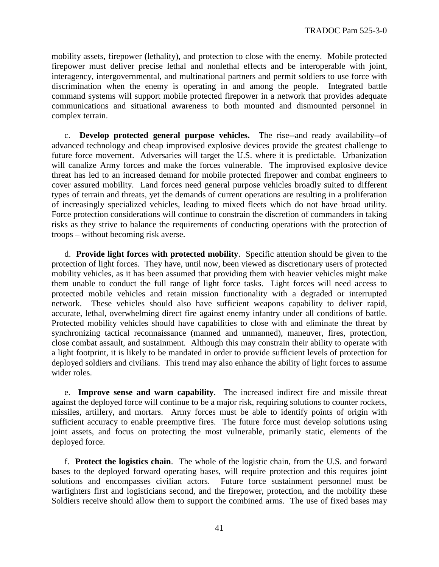mobility assets, firepower (lethality), and protection to close with the enemy. Mobile protected firepower must deliver precise lethal and nonlethal effects and be interoperable with joint, interagency, intergovernmental, and multinational partners and permit soldiers to use force with discrimination when the enemy is operating in and among the people. Integrated battle command systems will support mobile protected firepower in a network that provides adequate communications and situational awareness to both mounted and dismounted personnel in complex terrain.

c. **Develop protected general purpose vehicles.** The rise--and ready availability--of advanced technology and cheap improvised explosive devices provide the greatest challenge to future force movement. Adversaries will target the U.S. where it is predictable. Urbanization will canalize Army forces and make the forces vulnerable. The improvised explosive device threat has led to an increased demand for mobile protected firepower and combat engineers to cover assured mobility. Land forces need general purpose vehicles broadly suited to different types of terrain and threats, yet the demands of current operations are resulting in a proliferation of increasingly specialized vehicles, leading to mixed fleets which do not have broad utility. Force protection considerations will continue to constrain the discretion of commanders in taking risks as they strive to balance the requirements of conducting operations with the protection of troops – without becoming risk averse.

d. **Provide light forces with protected mobility**. Specific attention should be given to the protection of light forces. They have, until now, been viewed as discretionary users of protected mobility vehicles, as it has been assumed that providing them with heavier vehicles might make them unable to conduct the full range of light force tasks. Light forces will need access to protected mobile vehicles and retain mission functionality with a degraded or interrupted network. These vehicles should also have sufficient weapons capability to deliver rapid, accurate, lethal, overwhelming direct fire against enemy infantry under all conditions of battle. Protected mobility vehicles should have capabilities to close with and eliminate the threat by synchronizing tactical reconnaissance (manned and unmanned), maneuver, fires, protection, close combat assault, and sustainment. Although this may constrain their ability to operate with a light footprint, it is likely to be mandated in order to provide sufficient levels of protection for deployed soldiers and civilians. This trend may also enhance the ability of light forces to assume wider roles.

e. **Improve sense and warn capability**. The increased indirect fire and missile threat against the deployed force will continue to be a major risk, requiring solutions to counter rockets, missiles, artillery, and mortars. Army forces must be able to identify points of origin with sufficient accuracy to enable preemptive fires. The future force must develop solutions using joint assets, and focus on protecting the most vulnerable, primarily static, elements of the deployed force.

f. **Protect the logistics chain**. The whole of the logistic chain, from the U.S. and forward bases to the deployed forward operating bases, will require protection and this requires joint solutions and encompasses civilian actors. Future force sustainment personnel must be warfighters first and logisticians second, and the firepower, protection, and the mobility these Soldiers receive should allow them to support the combined arms. The use of fixed bases may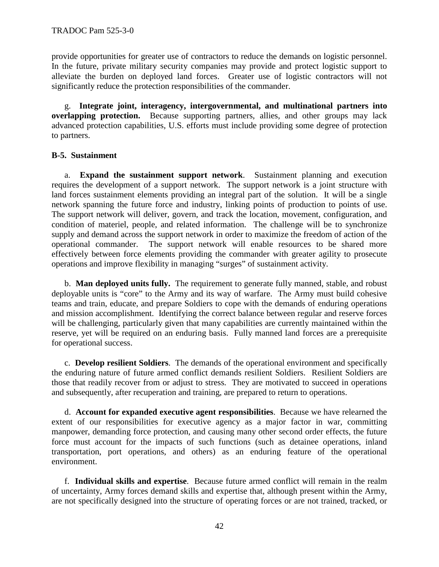provide opportunities for greater use of contractors to reduce the demands on logistic personnel. In the future, private military security companies may provide and protect logistic support to alleviate the burden on deployed land forces. Greater use of logistic contractors will not significantly reduce the protection responsibilities of the commander.

g. **Integrate joint, interagency, intergovernmental, and multinational partners into overlapping protection.** Because supporting partners, allies, and other groups may lack advanced protection capabilities, U.S. efforts must include providing some degree of protection to partners.

## **B-5. Sustainment**

a. **Expand the sustainment support network**. Sustainment planning and execution requires the development of a support network. The support network is a joint structure with land forces sustainment elements providing an integral part of the solution. It will be a single network spanning the future force and industry, linking points of production to points of use. The support network will deliver, govern, and track the location, movement, configuration, and condition of materiel, people, and related information. The challenge will be to synchronize supply and demand across the support network in order to maximize the freedom of action of the operational commander. The support network will enable resources to be shared more effectively between force elements providing the commander with greater agility to prosecute operations and improve flexibility in managing "surges" of sustainment activity.

b. **Man deployed units fully.** The requirement to generate fully manned, stable, and robust deployable units is "core" to the Army and its way of warfare. The Army must build cohesive teams and train, educate, and prepare Soldiers to cope with the demands of enduring operations and mission accomplishment. Identifying the correct balance between regular and reserve forces will be challenging, particularly given that many capabilities are currently maintained within the reserve, yet will be required on an enduring basis. Fully manned land forces are a prerequisite for operational success.

c. **Develop resilient Soldiers**. The demands of the operational environment and specifically the enduring nature of future armed conflict demands resilient Soldiers. Resilient Soldiers are those that readily recover from or adjust to stress. They are motivated to succeed in operations and subsequently, after recuperation and training, are prepared to return to operations.

d. **Account for expanded executive agent responsibilities**. Because we have relearned the extent of our responsibilities for executive agency as a major factor in war, committing manpower, demanding force protection, and causing many other second order effects, the future force must account for the impacts of such functions (such as detainee operations, inland transportation, port operations, and others) as an enduring feature of the operational environment.

f. **Individual skills and expertise**. Because future armed conflict will remain in the realm of uncertainty, Army forces demand skills and expertise that, although present within the Army, are not specifically designed into the structure of operating forces or are not trained, tracked, or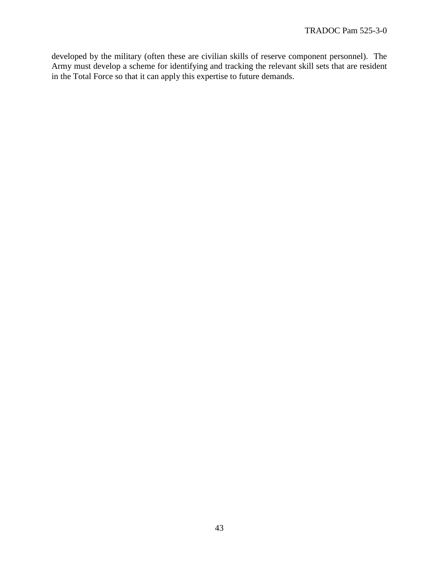developed by the military (often these are civilian skills of reserve component personnel). The Army must develop a scheme for identifying and tracking the relevant skill sets that are resident in the Total Force so that it can apply this expertise to future demands.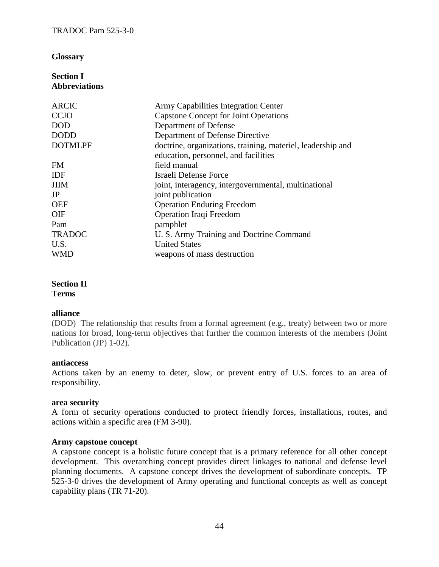## <span id="page-47-0"></span>**Glossary**

## **Section I Abbreviations**

| Army Capabilities Integration Center                        |  |  |
|-------------------------------------------------------------|--|--|
| <b>Capstone Concept for Joint Operations</b>                |  |  |
| Department of Defense                                       |  |  |
| Department of Defense Directive                             |  |  |
| doctrine, organizations, training, materiel, leadership and |  |  |
| education, personnel, and facilities                        |  |  |
| field manual                                                |  |  |
| Israeli Defense Force                                       |  |  |
| joint, interagency, intergovernmental, multinational        |  |  |
| joint publication                                           |  |  |
| <b>Operation Enduring Freedom</b>                           |  |  |
| Operation Iraqi Freedom                                     |  |  |
| pamphlet                                                    |  |  |
| U. S. Army Training and Doctrine Command                    |  |  |
| <b>United States</b>                                        |  |  |
| weapons of mass destruction                                 |  |  |
|                                                             |  |  |

#### **Section II Terms**

## **alliance**

(DOD) The relationship that results from a formal agreement (e.g., treaty) between two or more nations for broad, long-term objectives that further the common interests of the members (Joint Publication (JP) 1-02).

## **antiaccess**

Actions taken by an enemy to deter, slow, or prevent entry of U.S. forces to an area of responsibility.

#### **area security**

A form of security operations conducted to protect friendly forces, installations, routes, and actions within a specific area (FM 3-90).

#### **Army capstone concept**

A capstone concept is a holistic future concept that is a primary reference for all other concept development. This overarching concept provides direct linkages to national and defense level planning documents. A capstone concept drives the development of subordinate concepts. TP 525-3-0 drives the development of Army operating and functional concepts as well as concept capability plans (TR 71-20).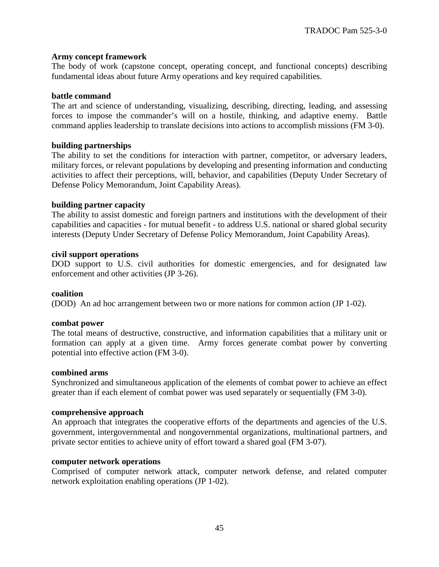## **Army concept framework**

The body of work (capstone concept, operating concept, and functional concepts) describing fundamental ideas about future Army operations and key required capabilities.

## **battle command**

The art and science of understanding, visualizing, describing, directing, leading, and assessing forces to impose the commander's will on a hostile, thinking, and adaptive enemy. Battle command applies leadership to translate decisions into actions to accomplish missions (FM 3-0).

## **building partnerships**

The ability to set the conditions for interaction with partner, competitor, or adversary leaders, military forces, or relevant populations by developing and presenting information and conducting activities to affect their perceptions, will, behavior, and capabilities (Deputy Under Secretary of Defense Policy Memorandum, Joint Capability Areas).

#### **building partner capacity**

The ability to assist domestic and foreign partners and institutions with the development of their capabilities and capacities - for mutual benefit - to address U.S. national or shared global security interests (Deputy Under Secretary of Defense Policy Memorandum, Joint Capability Areas).

#### **civil support operations**

DOD support to U.S. civil authorities for domestic emergencies, and for designated law enforcement and other activities (JP 3-26).

## **coalition**

(DOD) An ad hoc arrangement between two or more nations for common action (JP 1-02).

#### **combat power**

The total means of destructive, constructive, and information capabilities that a military unit or formation can apply at a given time. Army forces generate combat power by converting potential into effective action (FM 3-0).

#### **combined arms**

Synchronized and simultaneous application of the elements of combat power to achieve an effect greater than if each element of combat power was used separately or sequentially (FM 3-0).

#### **comprehensive approach**

An approach that integrates the cooperative efforts of the departments and agencies of the U.S. government, intergovernmental and nongovernmental organizations, multinational partners, and private sector entities to achieve unity of effort toward a shared goal (FM 3-07).

#### **computer network operations**

Comprised of computer network attack, computer network defense, and related computer network exploitation enabling operations (JP 1-02).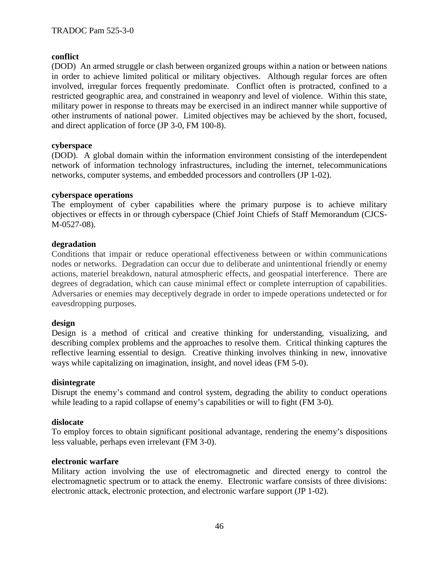## **conflict**

(DOD) An armed struggle or clash between organized groups within a nation or between nations in order to achieve limited political or military objectives. Although regular forces are often involved, irregular forces frequently predominate. Conflict often is protracted, confined to a restricted geographic area, and constrained in weaponry and level of violence. Within this state, military power in response to threats may be exercised in an indirect manner while supportive of other instruments of national power. Limited objectives may be achieved by the short, focused, and direct application of force (JP 3-0, FM 100-8).

## **cyberspace**

(DOD). A global domain within the information environment consisting of the interdependent network of information technology infrastructures, including the internet, telecommunications networks, computer systems, and embedded processors and controllers (JP 1-02).

#### **cyberspace operations**

The employment of cyber capabilities where the primary purpose is to achieve military objectives or effects in or through cyberspace (Chief Joint Chiefs of Staff Memorandum (CJCS-M-0527-08).

## **degradation**

Conditions that impair or reduce operational effectiveness between or within communications nodes or networks. Degradation can occur due to deliberate and unintentional friendly or enemy actions, materiel breakdown, natural atmospheric effects, and geospatial interference. There are degrees of degradation, which can cause minimal effect or complete interruption of capabilities. Adversaries or enemies may deceptively degrade in order to impede operations undetected or for eavesdropping purposes.

#### **design**

Design is a method of critical and creative thinking for understanding, visualizing, and describing complex problems and the approaches to resolve them. Critical thinking captures the reflective learning essential to design. Creative thinking involves thinking in new, innovative ways while capitalizing on imagination, insight, and novel ideas (FM 5-0).

## **disintegrate**

Disrupt the enemy's command and control system, degrading the ability to conduct operations while leading to a rapid collapse of enemy's capabilities or will to fight (FM 3-0).

#### **dislocate**

To employ forces to obtain significant positional advantage, rendering the enemy's dispositions less valuable, perhaps even irrelevant (FM 3-0).

## **electronic warfare**

Military action involving the use of electromagnetic and directed energy to control the electromagnetic spectrum or to attack the enemy. Electronic warfare consists of three divisions: electronic attack, electronic protection, and electronic warfare support (JP 1-02).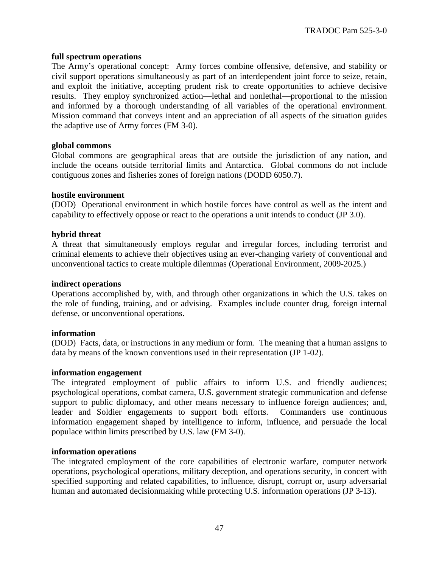#### **full spectrum operations**

The Army's operational concept: Army forces combine offensive, defensive, and stability or civil support operations simultaneously as part of an interdependent joint force to seize, retain, and exploit the initiative, accepting prudent risk to create opportunities to achieve decisive results. They employ synchronized action—lethal and nonlethal—proportional to the mission and informed by a thorough understanding of all variables of the operational environment. Mission command that conveys intent and an appreciation of all aspects of the situation guides the adaptive use of Army forces (FM 3-0).

#### **global commons**

Global commons are geographical areas that are outside the jurisdiction of any nation, and include the oceans outside territorial limits and Antarctica. Global commons do not include contiguous zones and fisheries zones of foreign nations (DODD 6050.7).

#### **hostile environment**

(DOD) Operational environment in which hostile forces have control as well as the intent and capability to effectively oppose or react to the operations a unit intends to conduct (JP 3.0).

## **hybrid threat**

A threat that simultaneously employs regular and irregular forces, including terrorist and criminal elements to achieve their objectives using an ever-changing variety of conventional and unconventional tactics to create multiple dilemmas (Operational Environment, 2009-2025.)

#### **indirect operations**

Operations accomplished by, with, and through other organizations in which the U.S. takes on the role of funding, training, and or advising. Examples include counter drug, foreign internal defense, or unconventional operations.

#### **information**

(DOD) Facts, data, or instructions in any medium or form. The meaning that a human assigns to data by means of the known conventions used in their representation (JP 1-02).

#### **information engagement**

The integrated employment of public affairs to inform U.S. and friendly audiences; psychological operations, combat camera, U.S. government strategic communication and defense support to public diplomacy, and other means necessary to influence foreign audiences; and, leader and Soldier engagements to support both efforts. Commanders use continuous information engagement shaped by intelligence to inform, influence, and persuade the local populace within limits prescribed by U.S. law (FM 3-0).

#### **information operations**

The integrated employment of the core capabilities of electronic warfare, computer network operations, psychological operations, military deception, and operations security, in concert with specified supporting and related capabilities, to influence, disrupt, corrupt or, usurp adversarial human and automated decisionmaking while protecting U.S. information operations (JP 3-13).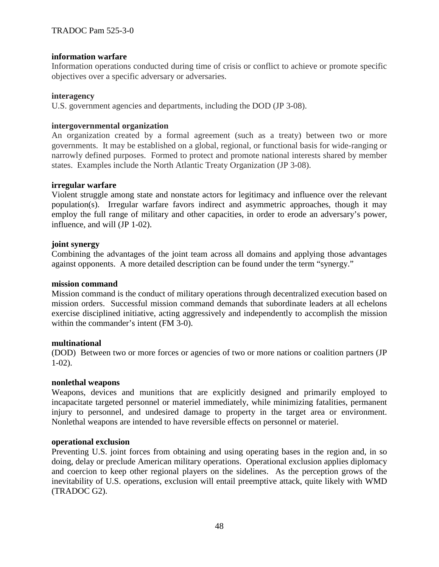## **information warfare**

Information operations conducted during time of crisis or conflict to achieve or promote specific objectives over a specific adversary or adversaries.

## **interagency**

U.S. government agencies and departments, including the DOD (JP 3-08).

## **intergovernmental organization**

An organization created by a formal agreement (such as a treaty) between two or more governments. It may be established on a global, regional, or functional basis for wide-ranging or narrowly defined purposes. Formed to protect and promote national interests shared by member states. Examples include the North Atlantic Treaty Organization (JP 3-08).

#### **irregular warfare**

Violent struggle among state and nonstate actors for legitimacy and influence over the relevant population(s). Irregular warfare favors indirect and asymmetric approaches, though it may employ the full range of military and other capacities, in order to erode an adversary's power, influence, and will (JP 1-02).

#### **joint synergy**

Combining the advantages of the joint team across all domains and applying those advantages against opponents. A more detailed description can be found under the term "synergy."

#### **mission command**

Mission command is the conduct of military operations through decentralized execution based on mission orders. Successful mission command demands that subordinate leaders at all echelons exercise disciplined initiative, acting aggressively and independently to accomplish the mission within the commander's intent (FM 3-0).

#### **multinational**

(DOD) Between two or more forces or agencies of two or more nations or coalition partners (JP 1-02).

## **nonlethal weapons**

Weapons, devices and munitions that are explicitly designed and primarily employed to incapacitate targeted personnel or materiel immediately, while minimizing fatalities, permanent injury to personnel, and undesired damage to property in the target area or environment. Nonlethal weapons are intended to have reversible effects on personnel or materiel.

#### **operational exclusion**

Preventing U.S. joint forces from obtaining and using operating bases in the region and, in so doing, delay or preclude American military operations. Operational exclusion applies diplomacy and coercion to keep other regional players on the sidelines. As the perception grows of the inevitability of U.S. operations, exclusion will entail preemptive attack, quite likely with WMD (TRADOC G2).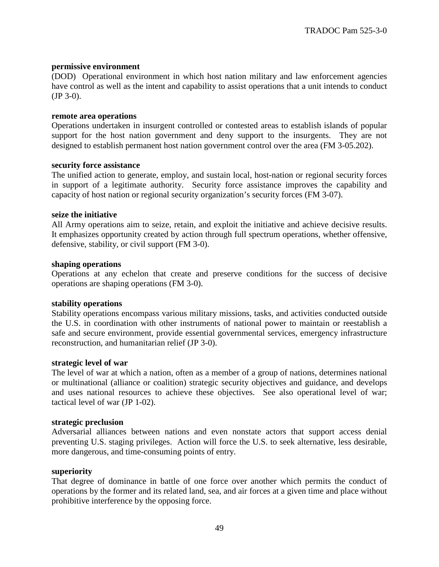#### **permissive environment**

(DOD) Operational environment in which host nation military and law enforcement agencies have control as well as the intent and capability to assist operations that a unit intends to conduct (JP 3-0).

#### **remote area operations**

Operations undertaken in insurgent controlled or contested areas to establish islands of popular support for the host nation government and deny support to the insurgents. They are not designed to establish permanent host nation government control over the area (FM 3-05.202).

#### **security force assistance**

The unified action to generate, employ, and sustain local, host-nation or regional security forces in support of a legitimate authority. Security force assistance improves the capability and capacity of host nation or regional security organization's security forces (FM 3-07).

#### **seize the initiative**

All Army operations aim to seize, retain, and exploit the initiative and achieve decisive results. It emphasizes opportunity created by action through full spectrum operations, whether offensive, defensive, stability, or civil support (FM 3-0).

#### **shaping operations**

Operations at any echelon that create and preserve conditions for the success of decisive operations are shaping operations (FM 3-0).

#### **stability operations**

Stability operations encompass various military missions, tasks, and activities conducted outside the U.S. in coordination with other instruments of national power to maintain or reestablish a safe and secure environment, provide essential governmental services, emergency infrastructure reconstruction, and humanitarian relief (JP 3-0).

#### **strategic level of war**

The level of war at which a nation, often as a member of a group of nations, determines national or multinational (alliance or coalition) strategic security objectives and guidance, and develops and uses national resources to achieve these objectives. See also operational level of war; tactical level of war (JP 1-02).

#### **strategic preclusion**

Adversarial alliances between nations and even nonstate actors that support access denial preventing U.S. staging privileges. Action will force the U.S. to seek alternative, less desirable, more dangerous, and time-consuming points of entry.

#### **superiority**

That degree of dominance in battle of one force over another which permits the conduct of operations by the former and its related land, sea, and air forces at a given time and place without prohibitive interference by the opposing force.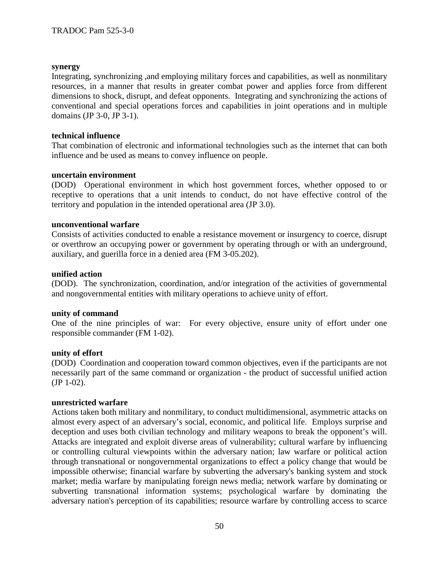#### **synergy**

Integrating, synchronizing ,and employing military forces and capabilities, as well as nonmilitary resources, in a manner that results in greater combat power and applies force from different dimensions to shock, disrupt, and defeat opponents. Integrating and synchronizing the actions of conventional and special operations forces and capabilities in joint operations and in multiple domains (JP 3-0, JP 3-1).

#### **technical influence**

That combination of electronic and informational technologies such as the internet that can both influence and be used as means to convey influence on people.

#### **uncertain environment**

(DOD) Operational environment in which host government forces, whether opposed to or receptive to operations that a unit intends to conduct, do not have effective control of the territory and population in the intended operational area (JP 3.0).

#### **unconventional warfare**

Consists of activities conducted to enable a resistance movement or insurgency to coerce, disrupt or overthrow an occupying power or government by operating through or with an underground, auxiliary, and guerilla force in a denied area (FM 3-05.202).

#### **unified action**

(DOD). The synchronization, coordination, and/or integration of the activities of governmental and nongovernmental entities with military operations to achieve unity of effort.

#### **unity of command**

One of the nine principles of war: For every objective, ensure unity of effort under one responsible commander (FM 1-02).

#### **unity of effort**

(DOD) Coordination and cooperation toward common objectives, even if the participants are not necessarily part of the same command or organization - the product of successful unified action (JP 1-02).

#### **unrestricted warfare**

Actions taken both military and nonmilitary, to conduct multidimensional, asymmetric attacks on almost every aspect of an adversary's social, economic, and political life. Employs surprise and deception and uses both civilian technology and military weapons to break the opponent's will. Attacks are integrated and exploit diverse areas of vulnerability; cultural warfare by influencing or controlling cultural viewpoints within the adversary nation; law warfare or political action through transnational or nongovernmental organizations to effect a policy change that would be impossible otherwise; financial warfare by subverting the adversary's banking system and stock market; media warfare by manipulating foreign news media; network warfare by dominating or subverting transnational information systems; psychological warfare by dominating the adversary nation's perception of its capabilities; resource warfare by controlling access to scarce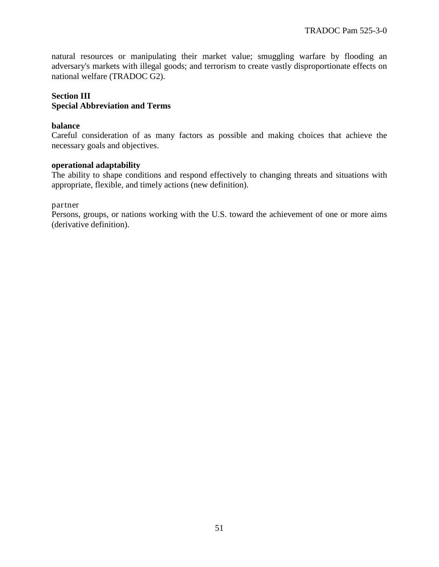natural resources or manipulating their market value; smuggling warfare by flooding an adversary's markets with illegal goods; and terrorism to create vastly disproportionate effects on national welfare (TRADOC G2).

## **Section III**

## **Special Abbreviation and Terms**

## **balance**

Careful consideration of as many factors as possible and making choices that achieve the necessary goals and objectives.

#### **operational adaptability**

The ability to shape conditions and respond effectively to changing threats and situations with appropriate, flexible, and timely actions (new definition).

partner

Persons, groups, or nations working with the U.S. toward the achievement of one or more aims (derivative definition).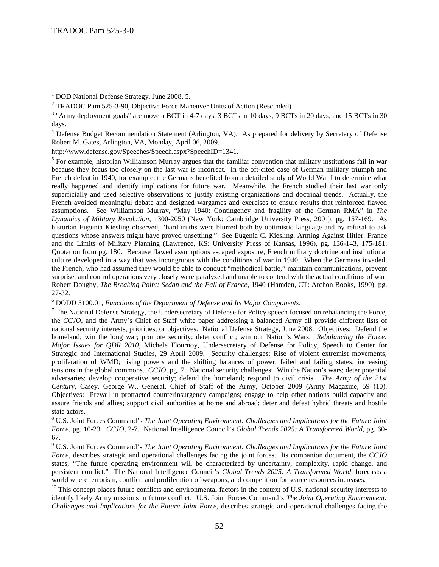$\overline{a}$ 

<span id="page-55-3"></span>days.<br><sup>4</sup> Defense Budget Recommendation Statement (Arlington, VA). As prepared for delivery by Secretary of Defense Robert M. Gates, Arlington, VA, Monday, April 06, 2009.

<span id="page-55-4"></span>http://www.defense.gov/Speeches/Speech.aspx?SpeechID=1341.<br><sup>5</sup> For example, historian Williamson Murray argues that the familiar convention that military institutions fail in war because they focus too closely on the last war is incorrect. In the oft-cited case of German military triumph and French defeat in 1940, for example, the Germans benefited from a detailed study of World War I to determine what really happened and identify implications for future war. Meanwhile, the French studied their last war only superficially and used selective observations to justify existing organizations and doctrinal trends. Actually, the French avoided meaningful debate and designed wargames and exercises to ensure results that reinforced flawed assumptions. See Williamson Murray, "May 1940: Contingency and fragility of the German RMA" in *The Dynamics of Military Revolution*, 1300-2050 (New York: Cambridge University Press, 2001), pg. 157-169. As historian Eugenia Kiesling observed, "hard truths were blurred both by optimistic language and by refusal to ask questions whose answers might have proved unsettling." See Eugenia C. Kiesling, Arming Against Hitler: France and the Limits of Military Planning (Lawrence, KS: University Press of Kansas, 1996), pg. 136-143, 175-181. Quotation from pg. 180. Because flawed assumptions escaped exposure, French military doctrine and institutional culture developed in a way that was incongruous with the conditions of war in 1940. When the Germans invaded, the French, who had assumed they would be able to conduct "methodical battle," maintain communications, prevent surprise, and control operations very closely were paralyzed and unable to contend with the actual conditions of war. Robert Doughy, *The Breaking Point: Sedan and the Fall of France*, 1940 (Hamden, CT: Archon Books, 1990), pg. 27-32.

<span id="page-55-6"></span><span id="page-55-5"></span><sup>6</sup> DODD 5100.01, *Functions of the Department of Defense and Its Major Components*. <sup>7</sup> The National Defense Strategy, the Undersecretary of Defense for Policy speech focused on rebalancing the Force, the *CCJO*, and the Army's Chief of Staff white paper addressing a balanced Army all provide different lists of national security interests, priorities, or objectives.National Defense Strategy, June 2008. Objectives: Defend the homeland; win the long war; promote security; deter conflict; win our Nation's Wars. *Rebalancing the Force: Major Issues for QDR 2010*, Michele Flournoy, Undersecretary of Defense for Policy, Speech to Center for Strategic and International Studies, 29 April 2009. Security challenges: Rise of violent extremist movements; proliferation of WMD; rising powers and the shifting balances of power; failed and failing states; increasing tensions in the global commons. *CCJO*, pg. 7. National security challenges: Win the Nation's wars; deter potential adversaries; develop cooperative security; defend the homeland; respond to civil crisis. *The Army of the 21st Century*, Casey, George W., General, Chief of Staff of the Army, October 2009 (Army Magazine, 59 (10). Objectives: Prevail in protracted counterinsurgency campaigns; engage to help other nations build capacity and assure friends and allies; support civil authorities at home and abroad; deter and defeat hybrid threats and hostile state actors.

<span id="page-55-7"></span><sup>8</sup> U.S. Joint Forces Command's *The Joint Operating Environment: Challenges and Implications for the Future Joint Force*, pg. 10-23. *CCJO,* 2-7. National Intelligence Council's *Global Trends 2025: A Transformed World*, pg. 60- 67.

<span id="page-55-8"></span><sup>9</sup> U.S. Joint Forces Command's *The Joint Operating Environment: Challenges and Implications for the Future Joint Force*, describes strategic and operational challenges facing the joint forces. Its companion document, the *CCJO* states, "The future operating environment will be characterized by uncertainty, complexity, rapid change, and persistent conflict." The National Intelligence Council's *Global Trends 2025: A Transformed World,* forecasts a world where terrorism, conflict, and proliferation of weapons, and competition for scarce resources increases.

<span id="page-55-9"></span> $10$  This concept places future conflicts and environmental factors in the context of U.S. national security interests to identify likely Army missions in future conflict. U.S. Joint Forces Command's *The Joint Operating Environment: Challenges and Implications for the Future Joint Force,* describes strategic and operational challenges facing the

<span id="page-55-0"></span><sup>1</sup> DOD National Defense Strategy, June 2008*,* 5.

<span id="page-55-1"></span><sup>2</sup> TRADOC Pam 525-3-90, Objective Force Maneuver Units of Action (Rescinded)

<span id="page-55-2"></span><sup>3</sup> "Army deployment goals" are move a BCT in 4-7 days, 3 BCTs in 10 days, 9 BCTs in 20 days, and 15 BCTs in 30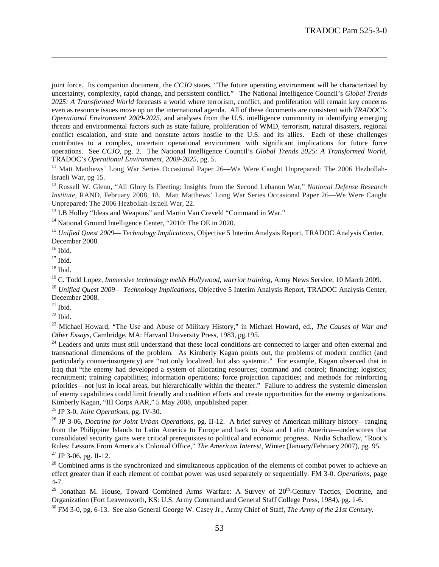joint force. Its companion document, the *CCJO* states, "The future operating environment will be characterized by uncertainty, complexity, rapid change, and persistent conflict." The National Intelligence Council's *Global Trends 2025: A Transformed World* forecasts a world where terrorism, conflict, and proliferation will remain key concerns even as resource issues move up on the international agenda. All of these documents are consistent with *TRADOC's Operational Environment 2009-2025,* and analyses from the U.S. intelligence community in identifying emerging threats and environmental factors such as state failure, proliferation of WMD, terrorism, natural disasters, regional conflict escalation, and state and nonstate actors hostile to the U.S. and its allies. Each of these challenges contributes to a complex, uncertain operational environment with significant implications for future force operations. See *CCJO*, pg. 2. The National Intelligence Council's *Global Trends 2025: A Transformed World*, TRADOC's *Operational Environment*, 2009-2025, pg. 5.

<span id="page-56-0"></span><sup>11</sup> Matt Matthews' Long War Series Occasional Paper 26—We Were Caught Unprepared: The 2006 Hezbollah-Israeli War, pg 15.

<span id="page-56-1"></span><sup>12</sup> Russell W. Glenn, "All Glory Is Fleeting: Insights from the Second Lebanon War," *National Defense Research Institute*, RAND, February 2008, 18. Matt Matthews' Long War Series Occasional Paper 26—We Were Caught Unprepared: The 2006 Hezbollah-Israeli War, 22.

<span id="page-56-2"></span><sup>13</sup> I.B Holley "Ideas and Weapons" and Martin Van Creveld "Command in War."

<span id="page-56-4"></span><span id="page-56-3"></span><sup>14</sup> National Ground Intelligence Center, "2010: The OE in 2020.<br><sup>15</sup> *Unified Quest 2009— Technology Implications*, Objective 5 Interim Analysis Report, TRADOC Analysis Center, December 2008.

<span id="page-56-5"></span> $16$  Ibid.

 $\overline{a}$ 

<span id="page-56-6"></span> $17$  Ibid.

<span id="page-56-7"></span> $^{18}$  Ibid.

<span id="page-56-8"></span><sup>19</sup> C. Todd Lopez, *Immersive technology melds Hollywood, warrior training*, Army News Service, 10 March 2009.

<span id="page-56-9"></span><sup>20</sup> *Unified Quest 2009— Technology Implications*, Objective 5 Interim Analysis Report, TRADOC Analysis Center, December 2008.

<span id="page-56-10"></span><sup>21</sup> Ibid*.*

<span id="page-56-11"></span> $22$  Ibid.

<span id="page-56-12"></span><sup>23</sup> Michael Howard, "The Use and Abuse of Military History," in Michael Howard, ed., *The Causes of War and Other Essays,* Cambridge, MA: Harvard University Press, 1983, pg.195.

<span id="page-56-13"></span> $24$  Leaders and units must still understand that these local conditions are connected to larger and often external and transnational dimensions of the problem. As Kimberly Kagan points out, the problems of modern conflict (and particularly counterinsurgency) are "not only localized, but also systemic." For example, Kagan observed that in Iraq that "the enemy had developed a system of allocating resources; command and control; financing; logistics; recruitment; training capabilities; information operations; force projection capacities; and methods for reinforcing priorities—not just in local areas, but hierarchically within the theater." Failure to address the systemic dimension of enemy capabilities could limit friendly and coalition efforts and create opportunities for the enemy organizations. Kimberly Kagan, "III Corps AAR," 5 May 2008, unpublished paper.

<span id="page-56-14"></span><sup>25</sup> JP 3-0, *Joint Operations*, pg. IV-30.

<span id="page-56-15"></span><sup>26</sup> JP 3-06, *Doctrine for Joint Urban Operations*, pg. II-12. A brief survey of American military history—ranging from the Philippine Islands to Latin America to Europe and back to Asia and Latin America—underscores that consolidated security gains were critical prerequisites to political and economic progress. Nadia Schadlow, "Root's Rules: Lessons From America's Colonial Office," *The American Interest*, Winter (January/February 2007), pg. 95.

<span id="page-56-17"></span> $28$  Combined arms is the synchronized and simultaneous application of the elements of combat power to achieve an effect greater than if each element of combat power was used separately or sequentially. FM 3-0. *Operations*, page 4-7.

<span id="page-56-18"></span><sup>29</sup> Jonathan M. House, Toward Combined Arms Warfare: A Survey of 20<sup>th</sup>-Century Tactics, Doctrine, and Organization (Fort Leavenworth, KS: U.S. Army Command and General Staff College Press, 1984), pg. 1-6.

<span id="page-56-19"></span><sup>30</sup> FM 3-0, pg. 6-13. See also General George W. Casey Jr., Army Chief of Staff, *The Army of the 21st Century.*

<span id="page-56-16"></span> $27$  JP 3-06, pg. II-12.